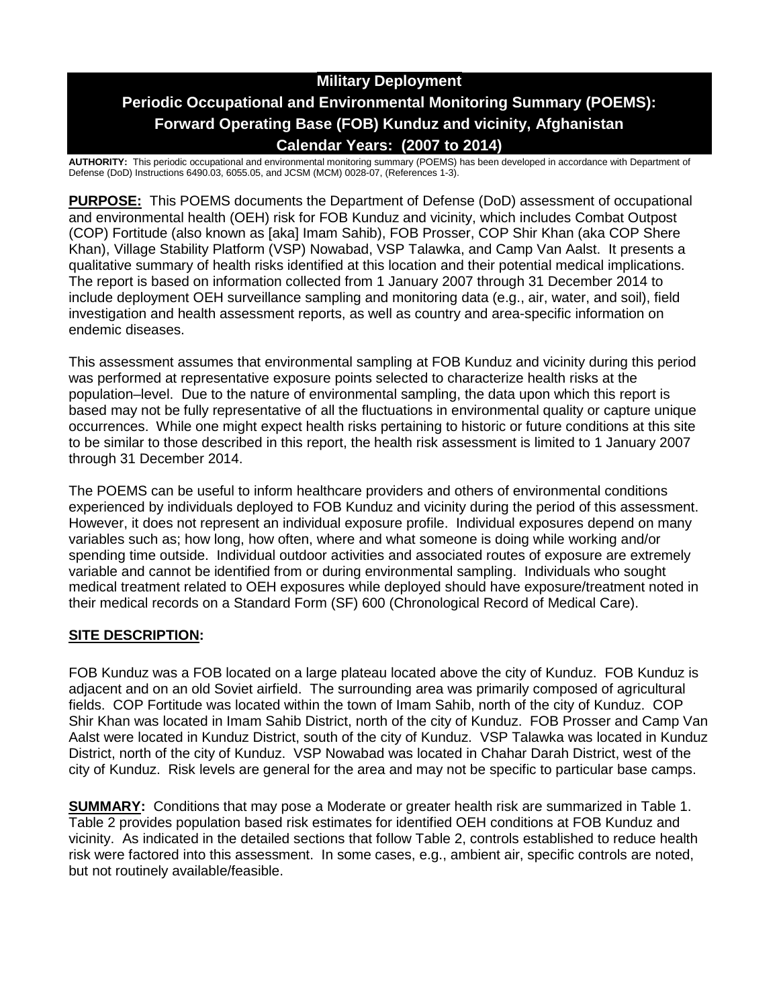# **Military Deployment Periodic Occupational and Environmental Monitoring Summary (POEMS): Forward Operating Base (FOB) Kunduz and vicinity, Afghanistan Calendar Years: (2007 to 2014)**

**AUTHORITY:** This periodic occupational and environmental monitoring summary (POEMS) has been developed in accordance with Department of Defense (DoD) Instructions 6490.03, 6055.05, and JCSM (MCM) 0028-07, (References 1-3).

**PURPOSE:** This POEMS documents the Department of Defense (DoD) assessment of occupational and environmental health (OEH) risk for FOB Kunduz and vicinity, which includes Combat Outpost (COP) Fortitude (also known as [aka] Imam Sahib), FOB Prosser, COP Shir Khan (aka COP Shere Khan), Village Stability Platform (VSP) Nowabad, VSP Talawka, and Camp Van Aalst. It presents a qualitative summary of health risks identified at this location and their potential medical implications. The report is based on information collected from 1 January 2007 through 31 December 2014 to include deployment OEH surveillance sampling and monitoring data (e.g., air, water, and soil), field investigation and health assessment reports, as well as country and area-specific information on endemic diseases.

This assessment assumes that environmental sampling at FOB Kunduz and vicinity during this period was performed at representative exposure points selected to characterize health risks at the population–level. Due to the nature of environmental sampling, the data upon which this report is based may not be fully representative of all the fluctuations in environmental quality or capture unique occurrences. While one might expect health risks pertaining to historic or future conditions at this site to be similar to those described in this report, the health risk assessment is limited to 1 January 2007 through 31 December 2014.

The POEMS can be useful to inform healthcare providers and others of environmental conditions experienced by individuals deployed to FOB Kunduz and vicinity during the period of this assessment. However, it does not represent an individual exposure profile. Individual exposures depend on many variables such as; how long, how often, where and what someone is doing while working and/or spending time outside. Individual outdoor activities and associated routes of exposure are extremely variable and cannot be identified from or during environmental sampling. Individuals who sought medical treatment related to OEH exposures while deployed should have exposure/treatment noted in their medical records on a Standard Form (SF) 600 (Chronological Record of Medical Care).

## **SITE DESCRIPTION:**

FOB Kunduz was a FOB located on a large plateau located above the city of Kunduz. FOB Kunduz is adjacent and on an old Soviet airfield. The surrounding area was primarily composed of agricultural fields. COP Fortitude was located within the town of Imam Sahib, north of the city of Kunduz. COP Shir Khan was located in Imam Sahib District, north of the city of Kunduz. FOB Prosser and Camp Van Aalst were located in Kunduz District, south of the city of Kunduz. VSP Talawka was located in Kunduz District, north of the city of Kunduz. VSP Nowabad was located in Chahar Darah District, west of the city of Kunduz. Risk levels are general for the area and may not be specific to particular base camps.

**SUMMARY:** Conditions that may pose a Moderate or greater health risk are summarized in Table 1. Table 2 provides population based risk estimates for identified OEH conditions at FOB Kunduz and vicinity. As indicated in the detailed sections that follow Table 2, controls established to reduce health risk were factored into this assessment. In some cases, e.g., ambient air, specific controls are noted, but not routinely available/feasible.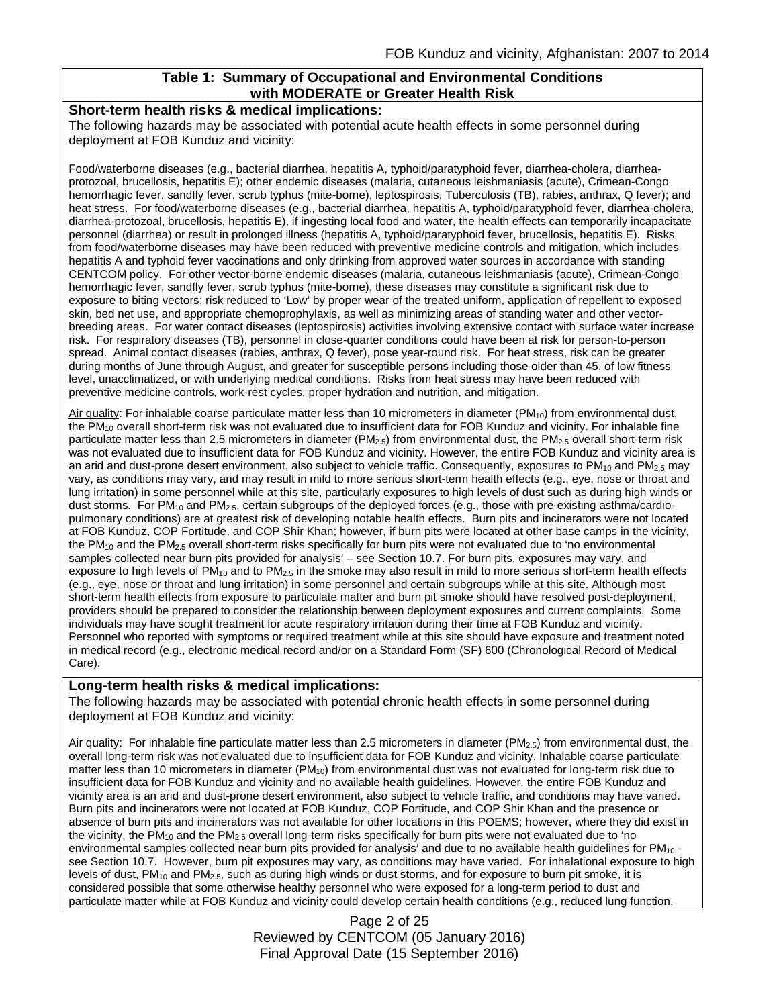### **Table 1: Summary of Occupational and Environmental Conditions with MODERATE or Greater Health Risk**

#### **Short-term health risks & medical implications:**

The following hazards may be associated with potential acute health effects in some personnel during deployment at FOB Kunduz and vicinity:

Food/waterborne diseases (e.g., bacterial diarrhea, hepatitis A, typhoid/paratyphoid fever, diarrhea-cholera, diarrheaprotozoal, brucellosis, hepatitis E); other endemic diseases (malaria, cutaneous leishmaniasis (acute), Crimean-Congo hemorrhagic fever, sandfly fever, scrub typhus (mite-borne), leptospirosis, Tuberculosis (TB), rabies, anthrax, Q fever); and heat stress. For food/waterborne diseases (e.g., bacterial diarrhea, hepatitis A, typhoid/paratyphoid fever, diarrhea-cholera, diarrhea-protozoal, brucellosis, hepatitis E), if ingesting local food and water, the health effects can temporarily incapacitate personnel (diarrhea) or result in prolonged illness (hepatitis A, typhoid/paratyphoid fever, brucellosis, hepatitis E). Risks from food/waterborne diseases may have been reduced with preventive medicine controls and mitigation, which includes hepatitis A and typhoid fever vaccinations and only drinking from approved water sources in accordance with standing CENTCOM policy. For other vector-borne endemic diseases (malaria, cutaneous leishmaniasis (acute), Crimean-Congo hemorrhagic fever, sandfly fever, scrub typhus (mite-borne), these diseases may constitute a significant risk due to exposure to biting vectors; risk reduced to 'Low' by proper wear of the treated uniform, application of repellent to exposed skin, bed net use, and appropriate chemoprophylaxis, as well as minimizing areas of standing water and other vectorbreeding areas. For water contact diseases (leptospirosis) activities involving extensive contact with surface water increase risk. For respiratory diseases (TB), personnel in close-quarter conditions could have been at risk for person-to-person spread. Animal contact diseases (rabies, anthrax, Q fever), pose year-round risk. For heat stress, risk can be greater during months of June through August, and greater for susceptible persons including those older than 45, of low fitness level, unacclimatized, or with underlying medical conditions. Risks from heat stress may have been reduced with preventive medicine controls, work-rest cycles, proper hydration and nutrition, and mitigation.

Air quality: For inhalable coarse particulate matter less than 10 micrometers in diameter ( $PM_{10}$ ) from environmental dust, the PM<sub>10</sub> overall short-term risk was not evaluated due to insufficient data for FOB Kunduz and vicinity. For inhalable fine particulate matter less than 2.5 micrometers in diameter ( $PM_{2.5}$ ) from environmental dust, the  $PM_{2.5}$  overall short-term risk was not evaluated due to insufficient data for FOB Kunduz and vicinity. However, the entire FOB Kunduz and vicinity area is an arid and dust-prone desert environment, also subject to vehicle traffic. Consequently, exposures to  $PM_{10}$  and  $PM_{2.5}$  may vary, as conditions may vary, and may result in mild to more serious short-term health effects (e.g., eye, nose or throat and lung irritation) in some personnel while at this site, particularly exposures to high levels of dust such as during high winds or dust storms. For PM<sub>10</sub> and PM<sub>2.5</sub>, certain subgroups of the deployed forces (e.g., those with pre-existing asthma/cardiopulmonary conditions) are at greatest risk of developing notable health effects. Burn pits and incinerators were not located at FOB Kunduz, COP Fortitude, and COP Shir Khan; however, if burn pits were located at other base camps in the vicinity, the PM<sub>10</sub> and the PM<sub>2.5</sub> overall short-term risks specifically for burn pits were not evaluated due to 'no environmental samples collected near burn pits provided for analysis' – see Section 10.7. For burn pits, exposures may vary, and exposure to high levels of PM<sub>10</sub> and to PM<sub>2.5</sub> in the smoke may also result in mild to more serious short-term health effects (e.g., eye, nose or throat and lung irritation) in some personnel and certain subgroups while at this site. Although most short-term health effects from exposure to particulate matter and burn pit smoke should have resolved post-deployment, providers should be prepared to consider the relationship between deployment exposures and current complaints. Some individuals may have sought treatment for acute respiratory irritation during their time at FOB Kunduz and vicinity. Personnel who reported with symptoms or required treatment while at this site should have exposure and treatment noted in medical record (e.g., electronic medical record and/or on a Standard Form (SF) 600 (Chronological Record of Medical Care).

### **Long-term health risks & medical implications:**

The following hazards may be associated with potential chronic health effects in some personnel during deployment at FOB Kunduz and vicinity:

Air quality: For inhalable fine particulate matter less than 2.5 micrometers in diameter ( $PM_{2.5}$ ) from environmental dust, the overall long-term risk was not evaluated due to insufficient data for FOB Kunduz and vicinity. Inhalable coarse particulate matter less than 10 micrometers in diameter  $(PM_{10})$  from environmental dust was not evaluated for long-term risk due to insufficient data for FOB Kunduz and vicinity and no available health guidelines. However, the entire FOB Kunduz and vicinity area is an arid and dust-prone desert environment, also subject to vehicle traffic, and conditions may have varied. Burn pits and incinerators were not located at FOB Kunduz, COP Fortitude, and COP Shir Khan and the presence or absence of burn pits and incinerators was not available for other locations in this POEMS; however, where they did exist in the vicinity, the  $PM_{10}$  and the  $PM_{2.5}$  overall long-term risks specifically for burn pits were not evaluated due to 'no environmental samples collected near burn pits provided for analysis' and due to no available health guidelines for  $PM_{10}$ . see Section 10.7. However, burn pit exposures may vary, as conditions may have varied. For inhalational exposure to high levels of dust, PM<sub>10</sub> and PM<sub>2.5</sub>, such as during high winds or dust storms, and for exposure to burn pit smoke, it is considered possible that some otherwise healthy personnel who were exposed for a long-term period to dust and particulate matter while at FOB Kunduz and vicinity could develop certain health conditions (e.g., reduced lung function,

> Page 2 of 25 Reviewed by CENTCOM (05 January 2016) Final Approval Date (15 September 2016)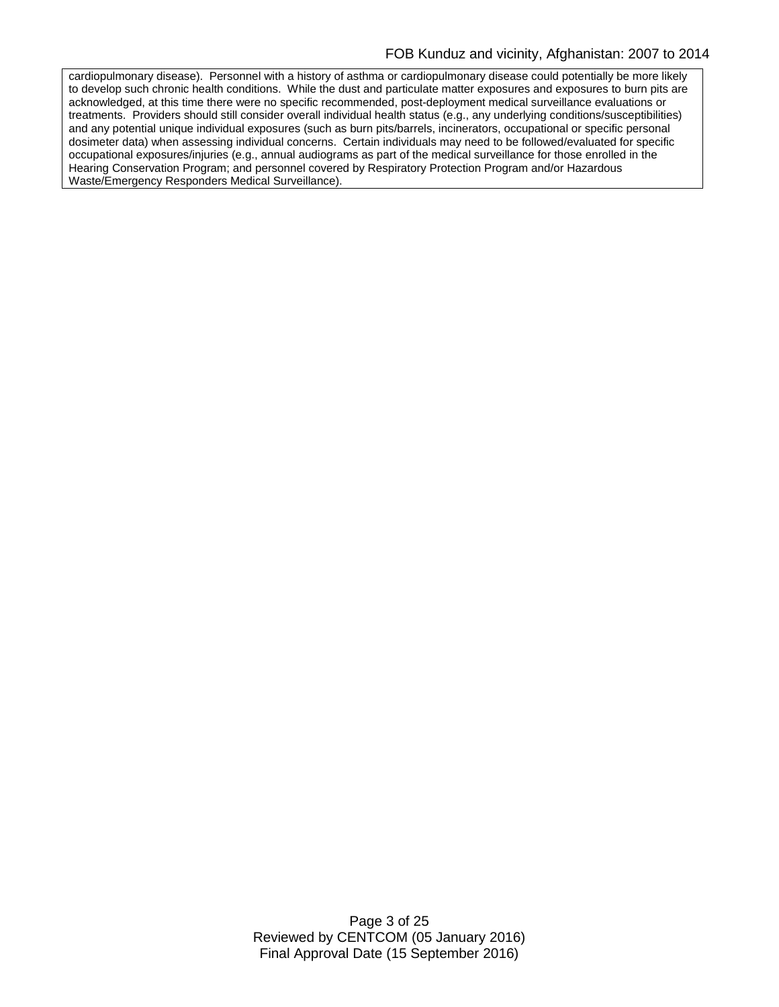cardiopulmonary disease). Personnel with a history of asthma or cardiopulmonary disease could potentially be more likely to develop such chronic health conditions. While the dust and particulate matter exposures and exposures to burn pits are acknowledged, at this time there were no specific recommended, post-deployment medical surveillance evaluations or treatments. Providers should still consider overall individual health status (e.g., any underlying conditions/susceptibilities) and any potential unique individual exposures (such as burn pits/barrels, incinerators, occupational or specific personal dosimeter data) when assessing individual concerns. Certain individuals may need to be followed/evaluated for specific occupational exposures/injuries (e.g., annual audiograms as part of the medical surveillance for those enrolled in the Hearing Conservation Program; and personnel covered by Respiratory Protection Program and/or Hazardous Waste/Emergency Responders Medical Surveillance).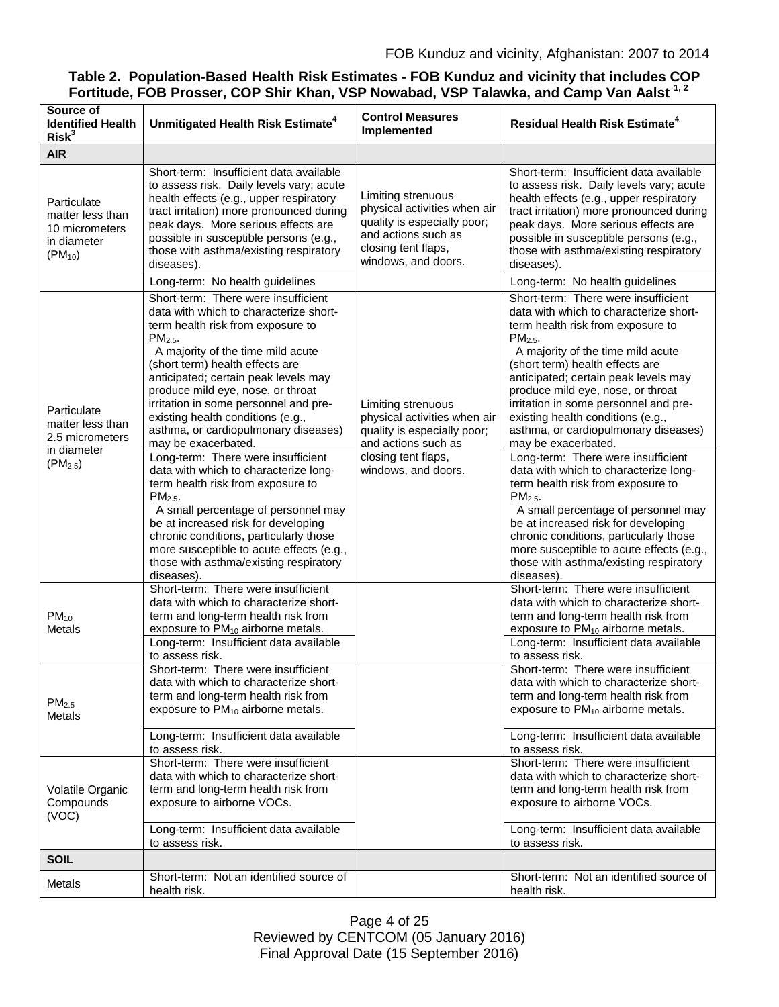## **Table 2. Population-Based Health Risk Estimates - FOB Kunduz and vicinity that includes COP Fortitude, FOB Prosser, COP Shir Khan, VSP Nowabad, VSP Talawka, and Camp Van Aalst 1, 2**

| Source of<br><b>Identified Health</b><br>Risk <sup>3</sup>                        | Unmitigated Health Risk Estimate <sup>4</sup>                                                                                                                                                                                                                                                                                                                                                                                                                                                                                                                                                                                                                                                                                                                                                  | <b>Control Measures</b><br><b>Implemented</b>                                                                                                          | <b>Residual Health Risk Estimate<sup>4</sup></b>                                                                                                                                                                                                                                                                                                                                                                                                                                                                                                                                                                                                                                                                                                                                               |
|-----------------------------------------------------------------------------------|------------------------------------------------------------------------------------------------------------------------------------------------------------------------------------------------------------------------------------------------------------------------------------------------------------------------------------------------------------------------------------------------------------------------------------------------------------------------------------------------------------------------------------------------------------------------------------------------------------------------------------------------------------------------------------------------------------------------------------------------------------------------------------------------|--------------------------------------------------------------------------------------------------------------------------------------------------------|------------------------------------------------------------------------------------------------------------------------------------------------------------------------------------------------------------------------------------------------------------------------------------------------------------------------------------------------------------------------------------------------------------------------------------------------------------------------------------------------------------------------------------------------------------------------------------------------------------------------------------------------------------------------------------------------------------------------------------------------------------------------------------------------|
| <b>AIR</b>                                                                        |                                                                                                                                                                                                                                                                                                                                                                                                                                                                                                                                                                                                                                                                                                                                                                                                |                                                                                                                                                        |                                                                                                                                                                                                                                                                                                                                                                                                                                                                                                                                                                                                                                                                                                                                                                                                |
| Particulate<br>matter less than<br>10 micrometers<br>in diameter<br>$(PM_{10})$   | Short-term: Insufficient data available<br>to assess risk. Daily levels vary; acute<br>health effects (e.g., upper respiratory<br>tract irritation) more pronounced during<br>peak days. More serious effects are<br>possible in susceptible persons (e.g.,<br>those with asthma/existing respiratory<br>diseases).                                                                                                                                                                                                                                                                                                                                                                                                                                                                            | Limiting strenuous<br>physical activities when air<br>quality is especially poor;<br>and actions such as<br>closing tent flaps,<br>windows, and doors. | Short-term: Insufficient data available<br>to assess risk. Daily levels vary; acute<br>health effects (e.g., upper respiratory<br>tract irritation) more pronounced during<br>peak days. More serious effects are<br>possible in susceptible persons (e.g.,<br>those with asthma/existing respiratory<br>diseases).                                                                                                                                                                                                                                                                                                                                                                                                                                                                            |
|                                                                                   | Long-term: No health guidelines                                                                                                                                                                                                                                                                                                                                                                                                                                                                                                                                                                                                                                                                                                                                                                |                                                                                                                                                        | Long-term: No health guidelines                                                                                                                                                                                                                                                                                                                                                                                                                                                                                                                                                                                                                                                                                                                                                                |
| Particulate<br>matter less than<br>2.5 micrometers<br>in diameter<br>$(PM_{2.5})$ | Short-term: There were insufficient<br>data with which to characterize short-<br>term health risk from exposure to<br>$PM2.5$ .<br>A majority of the time mild acute<br>(short term) health effects are<br>anticipated; certain peak levels may<br>produce mild eye, nose, or throat<br>irritation in some personnel and pre-<br>existing health conditions (e.g.,<br>asthma, or cardiopulmonary diseases)<br>may be exacerbated.<br>Long-term: There were insufficient<br>data with which to characterize long-<br>term health risk from exposure to<br>$PM2.5$ .<br>A small percentage of personnel may<br>be at increased risk for developing<br>chronic conditions, particularly those<br>more susceptible to acute effects (e.g.,<br>those with asthma/existing respiratory<br>diseases). | Limiting strenuous<br>physical activities when air<br>quality is especially poor;<br>and actions such as<br>closing tent flaps,<br>windows, and doors. | Short-term: There were insufficient<br>data with which to characterize short-<br>term health risk from exposure to<br>$PM2.5$ .<br>A majority of the time mild acute<br>(short term) health effects are<br>anticipated; certain peak levels may<br>produce mild eye, nose, or throat<br>irritation in some personnel and pre-<br>existing health conditions (e.g.,<br>asthma, or cardiopulmonary diseases)<br>may be exacerbated.<br>Long-term: There were insufficient<br>data with which to characterize long-<br>term health risk from exposure to<br>$PM2.5$ .<br>A small percentage of personnel may<br>be at increased risk for developing<br>chronic conditions, particularly those<br>more susceptible to acute effects (e.g.,<br>those with asthma/existing respiratory<br>diseases). |
| $PM_{10}$<br>Metals                                                               | Short-term: There were insufficient<br>data with which to characterize short-<br>term and long-term health risk from<br>exposure to PM <sub>10</sub> airborne metals.<br>Long-term: Insufficient data available<br>to assess risk.                                                                                                                                                                                                                                                                                                                                                                                                                                                                                                                                                             |                                                                                                                                                        | Short-term: There were insufficient<br>data with which to characterize short-<br>term and long-term health risk from<br>exposure to PM <sub>10</sub> airborne metals.<br>Long-term: Insufficient data available<br>to assess risk.                                                                                                                                                                                                                                                                                                                                                                                                                                                                                                                                                             |
| PM <sub>2.5</sub><br>Metals                                                       | Short-term: There were insufficient<br>data with which to characterize short-<br>term and long-term health risk from<br>exposure to PM <sub>10</sub> airborne metals.                                                                                                                                                                                                                                                                                                                                                                                                                                                                                                                                                                                                                          |                                                                                                                                                        | Short-term: There were insufficient<br>data with which to characterize short-<br>term and long-term health risk from<br>exposure to PM <sub>10</sub> airborne metals.                                                                                                                                                                                                                                                                                                                                                                                                                                                                                                                                                                                                                          |
|                                                                                   | Long-term: Insufficient data available<br>to assess risk.                                                                                                                                                                                                                                                                                                                                                                                                                                                                                                                                                                                                                                                                                                                                      |                                                                                                                                                        | Long-term: Insufficient data available<br>to assess risk.                                                                                                                                                                                                                                                                                                                                                                                                                                                                                                                                                                                                                                                                                                                                      |
| Volatile Organic<br>Compounds<br>(VOC)                                            | Short-term: There were insufficient<br>data with which to characterize short-<br>term and long-term health risk from<br>exposure to airborne VOCs.<br>Long-term: Insufficient data available                                                                                                                                                                                                                                                                                                                                                                                                                                                                                                                                                                                                   |                                                                                                                                                        | Short-term: There were insufficient<br>data with which to characterize short-<br>term and long-term health risk from<br>exposure to airborne VOCs.<br>Long-term: Insufficient data available                                                                                                                                                                                                                                                                                                                                                                                                                                                                                                                                                                                                   |
|                                                                                   | to assess risk.                                                                                                                                                                                                                                                                                                                                                                                                                                                                                                                                                                                                                                                                                                                                                                                |                                                                                                                                                        | to assess risk.                                                                                                                                                                                                                                                                                                                                                                                                                                                                                                                                                                                                                                                                                                                                                                                |
| <b>SOIL</b>                                                                       |                                                                                                                                                                                                                                                                                                                                                                                                                                                                                                                                                                                                                                                                                                                                                                                                |                                                                                                                                                        |                                                                                                                                                                                                                                                                                                                                                                                                                                                                                                                                                                                                                                                                                                                                                                                                |
| Metals                                                                            | Short-term: Not an identified source of<br>health risk.                                                                                                                                                                                                                                                                                                                                                                                                                                                                                                                                                                                                                                                                                                                                        |                                                                                                                                                        | Short-term: Not an identified source of<br>health risk.                                                                                                                                                                                                                                                                                                                                                                                                                                                                                                                                                                                                                                                                                                                                        |

Page 4 of 25 Reviewed by CENTCOM (05 January 2016) Final Approval Date (15 September 2016)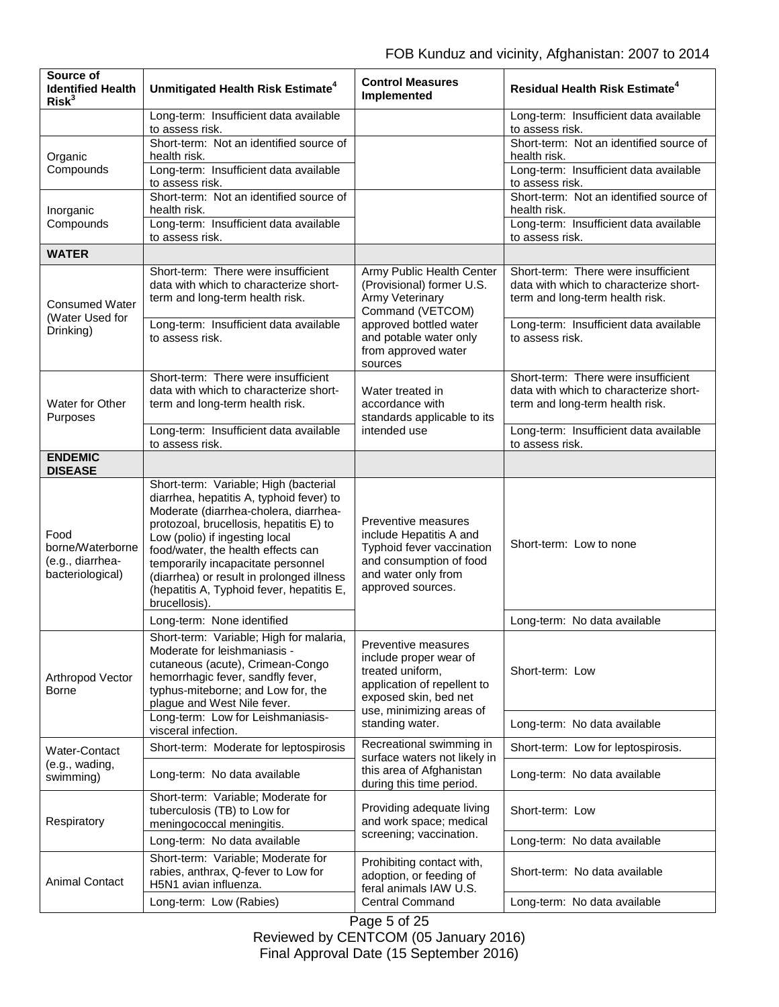| Source of<br><b>Identified Health</b><br>Risk <sup>3</sup>       | Unmitigated Health Risk Estimate <sup>4</sup>                                                                                                                                                                                                                                                                                                                                                  | <b>Control Measures</b><br>Implemented                                                                                                                                   | <b>Residual Health Risk Estimate<sup>4</sup></b>                                                                 |
|------------------------------------------------------------------|------------------------------------------------------------------------------------------------------------------------------------------------------------------------------------------------------------------------------------------------------------------------------------------------------------------------------------------------------------------------------------------------|--------------------------------------------------------------------------------------------------------------------------------------------------------------------------|------------------------------------------------------------------------------------------------------------------|
|                                                                  | Long-term: Insufficient data available<br>to assess risk.                                                                                                                                                                                                                                                                                                                                      |                                                                                                                                                                          | Long-term: Insufficient data available<br>to assess risk.                                                        |
| Organic<br>Compounds                                             | Short-term: Not an identified source of<br>health risk.                                                                                                                                                                                                                                                                                                                                        |                                                                                                                                                                          | Short-term: Not an identified source of<br>health risk.                                                          |
|                                                                  | Long-term: Insufficient data available<br>to assess risk.                                                                                                                                                                                                                                                                                                                                      |                                                                                                                                                                          | Long-term: Insufficient data available<br>to assess risk.                                                        |
| Inorganic<br>Compounds                                           | Short-term: Not an identified source of<br>health risk.                                                                                                                                                                                                                                                                                                                                        |                                                                                                                                                                          | Short-term: Not an identified source of<br>health risk.                                                          |
|                                                                  | Long-term: Insufficient data available<br>to assess risk.                                                                                                                                                                                                                                                                                                                                      |                                                                                                                                                                          | Long-term: Insufficient data available<br>to assess risk.                                                        |
| <b>WATER</b>                                                     |                                                                                                                                                                                                                                                                                                                                                                                                |                                                                                                                                                                          |                                                                                                                  |
| <b>Consumed Water</b><br>(Water Used for<br>Drinking)            | Short-term: There were insufficient<br>data with which to characterize short-<br>term and long-term health risk.                                                                                                                                                                                                                                                                               | Army Public Health Center<br>(Provisional) former U.S.<br>Army Veterinary<br>Command (VETCOM)                                                                            | Short-term: There were insufficient<br>data with which to characterize short-<br>term and long-term health risk. |
|                                                                  | Long-term: Insufficient data available<br>to assess risk.                                                                                                                                                                                                                                                                                                                                      | approved bottled water<br>and potable water only<br>from approved water<br>sources                                                                                       | Long-term: Insufficient data available<br>to assess risk.                                                        |
| Water for Other<br>Purposes                                      | Short-term: There were insufficient<br>data with which to characterize short-<br>term and long-term health risk.                                                                                                                                                                                                                                                                               | Water treated in<br>accordance with<br>standards applicable to its<br>intended use                                                                                       | Short-term: There were insufficient<br>data with which to characterize short-<br>term and long-term health risk. |
|                                                                  | Long-term: Insufficient data available<br>to assess risk.                                                                                                                                                                                                                                                                                                                                      |                                                                                                                                                                          | Long-term: Insufficient data available<br>to assess risk.                                                        |
| <b>ENDEMIC</b><br><b>DISEASE</b>                                 |                                                                                                                                                                                                                                                                                                                                                                                                |                                                                                                                                                                          |                                                                                                                  |
| Food<br>borne/Waterborne<br>(e.g., diarrhea-<br>bacteriological) | Short-term: Variable; High (bacterial<br>diarrhea, hepatitis A, typhoid fever) to<br>Moderate (diarrhea-cholera, diarrhea-<br>protozoal, brucellosis, hepatitis E) to<br>Low (polio) if ingesting local<br>food/water, the health effects can<br>temporarily incapacitate personnel<br>(diarrhea) or result in prolonged illness<br>(hepatitis A, Typhoid fever, hepatitis E,<br>brucellosis). | Preventive measures<br>include Hepatitis A and<br>Typhoid fever vaccination<br>and consumption of food<br>and water only from<br>approved sources.                       | Short-term: Low to none                                                                                          |
|                                                                  | Long-term: None identified                                                                                                                                                                                                                                                                                                                                                                     |                                                                                                                                                                          | Long-term: No data available                                                                                     |
| Arthropod Vector<br>Borne                                        | Short-term: Variable; High for malaria,<br>Moderate for leishmaniasis -<br>cutaneous (acute), Crimean-Congo<br>hemorrhagic fever, sandfly fever,<br>typhus-miteborne; and Low for, the<br>plague and West Nile fever.                                                                                                                                                                          | Preventive measures<br>include proper wear of<br>treated uniform,<br>application of repellent to<br>exposed skin, bed net<br>use, minimizing areas of<br>standing water. | Short-term: Low                                                                                                  |
|                                                                  | Long-term: Low for Leishmaniasis-<br>visceral infection.                                                                                                                                                                                                                                                                                                                                       |                                                                                                                                                                          | Long-term: No data available                                                                                     |
| Water-Contact<br>(e.g., wading,<br>swimming)                     | Short-term: Moderate for leptospirosis                                                                                                                                                                                                                                                                                                                                                         | Recreational swimming in<br>surface waters not likely in<br>this area of Afghanistan<br>during this time period.                                                         | Short-term: Low for leptospirosis.                                                                               |
|                                                                  | Long-term: No data available                                                                                                                                                                                                                                                                                                                                                                   |                                                                                                                                                                          | Long-term: No data available                                                                                     |
| Respiratory                                                      | Short-term: Variable; Moderate for<br>tuberculosis (TB) to Low for<br>meningococcal meningitis.                                                                                                                                                                                                                                                                                                | Providing adequate living<br>and work space; medical<br>screening; vaccination.                                                                                          | Short-term: Low                                                                                                  |
|                                                                  | Long-term: No data available                                                                                                                                                                                                                                                                                                                                                                   |                                                                                                                                                                          | Long-term: No data available                                                                                     |
| <b>Animal Contact</b>                                            | Short-term: Variable; Moderate for<br>rabies, anthrax, Q-fever to Low for<br>H5N1 avian influenza.                                                                                                                                                                                                                                                                                             | Prohibiting contact with,<br>adoption, or feeding of<br>feral animals IAW U.S.<br><b>Central Command</b>                                                                 | Short-term: No data available                                                                                    |
|                                                                  | Long-term: Low (Rabies)                                                                                                                                                                                                                                                                                                                                                                        |                                                                                                                                                                          | Long-term: No data available                                                                                     |

Page 5 of 25 Reviewed by CENTCOM (05 January 2016) Final Approval Date (15 September 2016)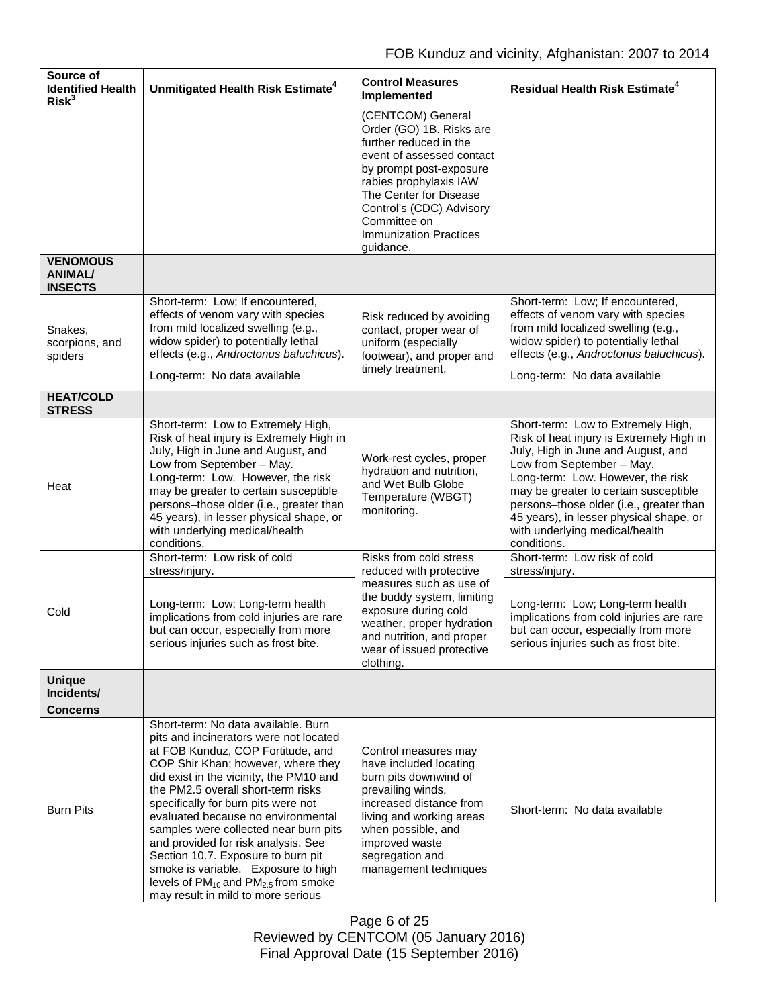| Source of<br><b>Identified Health</b><br>Risk <sup>3</sup> | Unmitigated Health Risk Estimate <sup>4</sup>                                                                                                                                                                                                                                                                                                                                                                                                                                                                                                                                            | <b>Control Measures</b><br><b>Implemented</b>                                                                                                                                                                                                                                 | <b>Residual Health Risk Estimate<sup>4</sup></b>                                                                                                                                                                                                                                                                                                                       |
|------------------------------------------------------------|------------------------------------------------------------------------------------------------------------------------------------------------------------------------------------------------------------------------------------------------------------------------------------------------------------------------------------------------------------------------------------------------------------------------------------------------------------------------------------------------------------------------------------------------------------------------------------------|-------------------------------------------------------------------------------------------------------------------------------------------------------------------------------------------------------------------------------------------------------------------------------|------------------------------------------------------------------------------------------------------------------------------------------------------------------------------------------------------------------------------------------------------------------------------------------------------------------------------------------------------------------------|
|                                                            |                                                                                                                                                                                                                                                                                                                                                                                                                                                                                                                                                                                          | (CENTCOM) General<br>Order (GO) 1B. Risks are<br>further reduced in the<br>event of assessed contact<br>by prompt post-exposure<br>rabies prophylaxis IAW<br>The Center for Disease<br>Control's (CDC) Advisory<br>Committee on<br><b>Immunization Practices</b><br>guidance. |                                                                                                                                                                                                                                                                                                                                                                        |
| <b>VENOMOUS</b><br><b>ANIMAL/</b><br><b>INSECTS</b>        |                                                                                                                                                                                                                                                                                                                                                                                                                                                                                                                                                                                          |                                                                                                                                                                                                                                                                               |                                                                                                                                                                                                                                                                                                                                                                        |
| Snakes,<br>scorpions, and<br>spiders                       | Short-term: Low; If encountered,<br>effects of venom vary with species<br>from mild localized swelling (e.g.,<br>widow spider) to potentially lethal<br>effects (e.g., Androctonus baluchicus).<br>Long-term: No data available                                                                                                                                                                                                                                                                                                                                                          | Risk reduced by avoiding<br>contact, proper wear of<br>uniform (especially<br>footwear), and proper and<br>timely treatment.                                                                                                                                                  | Short-term: Low; If encountered,<br>effects of venom vary with species<br>from mild localized swelling (e.g.,<br>widow spider) to potentially lethal<br>effects (e.g., Androctonus baluchicus).<br>Long-term: No data available                                                                                                                                        |
| <b>HEAT/COLD</b>                                           |                                                                                                                                                                                                                                                                                                                                                                                                                                                                                                                                                                                          |                                                                                                                                                                                                                                                                               |                                                                                                                                                                                                                                                                                                                                                                        |
| <b>STRESS</b><br>Heat                                      | Short-term: Low to Extremely High,<br>Risk of heat injury is Extremely High in<br>July, High in June and August, and<br>Low from September - May.<br>Long-term: Low. However, the risk<br>may be greater to certain susceptible<br>persons-those older (i.e., greater than<br>45 years), in lesser physical shape, or<br>with underlying medical/health<br>conditions.                                                                                                                                                                                                                   | Work-rest cycles, proper<br>hydration and nutrition,<br>and Wet Bulb Globe<br>Temperature (WBGT)<br>monitoring.                                                                                                                                                               | Short-term: Low to Extremely High,<br>Risk of heat injury is Extremely High in<br>July, High in June and August, and<br>Low from September - May.<br>Long-term: Low. However, the risk<br>may be greater to certain susceptible<br>persons-those older (i.e., greater than<br>45 years), in lesser physical shape, or<br>with underlying medical/health<br>conditions. |
|                                                            | Short-term: Low risk of cold<br>stress/injury.                                                                                                                                                                                                                                                                                                                                                                                                                                                                                                                                           | Risks from cold stress<br>reduced with protective                                                                                                                                                                                                                             | Short-term: Low risk of cold<br>stress/injury.                                                                                                                                                                                                                                                                                                                         |
| Cold                                                       | Long-term: Low; Long-term health<br>implications from cold injuries are rare<br>but can occur, especially from more<br>serious injuries such as frost bite.                                                                                                                                                                                                                                                                                                                                                                                                                              | measures such as use of<br>the buddy system, limiting<br>exposure during cold<br>weather, proper hydration<br>and nutrition, and proper<br>wear of issued protective<br>clothing.                                                                                             | Long-term: Low; Long-term health<br>implications from cold injuries are rare<br>but can occur, especially from more<br>serious injuries such as frost bite.                                                                                                                                                                                                            |
| <b>Unique</b><br>Incidents/<br>Concerns                    |                                                                                                                                                                                                                                                                                                                                                                                                                                                                                                                                                                                          |                                                                                                                                                                                                                                                                               |                                                                                                                                                                                                                                                                                                                                                                        |
| <b>Burn Pits</b>                                           | Short-term: No data available. Burn<br>pits and incinerators were not located<br>at FOB Kunduz, COP Fortitude, and<br>COP Shir Khan; however, where they<br>did exist in the vicinity, the PM10 and<br>the PM2.5 overall short-term risks<br>specifically for burn pits were not<br>evaluated because no environmental<br>samples were collected near burn pits<br>and provided for risk analysis. See<br>Section 10.7. Exposure to burn pit<br>smoke is variable. Exposure to high<br>levels of PM <sub>10</sub> and PM <sub>2.5</sub> from smoke<br>may result in mild to more serious | Control measures may<br>have included locating<br>burn pits downwind of<br>prevailing winds,<br>increased distance from<br>living and working areas<br>when possible, and<br>improved waste<br>segregation and<br>management techniques                                       | Short-term: No data available                                                                                                                                                                                                                                                                                                                                          |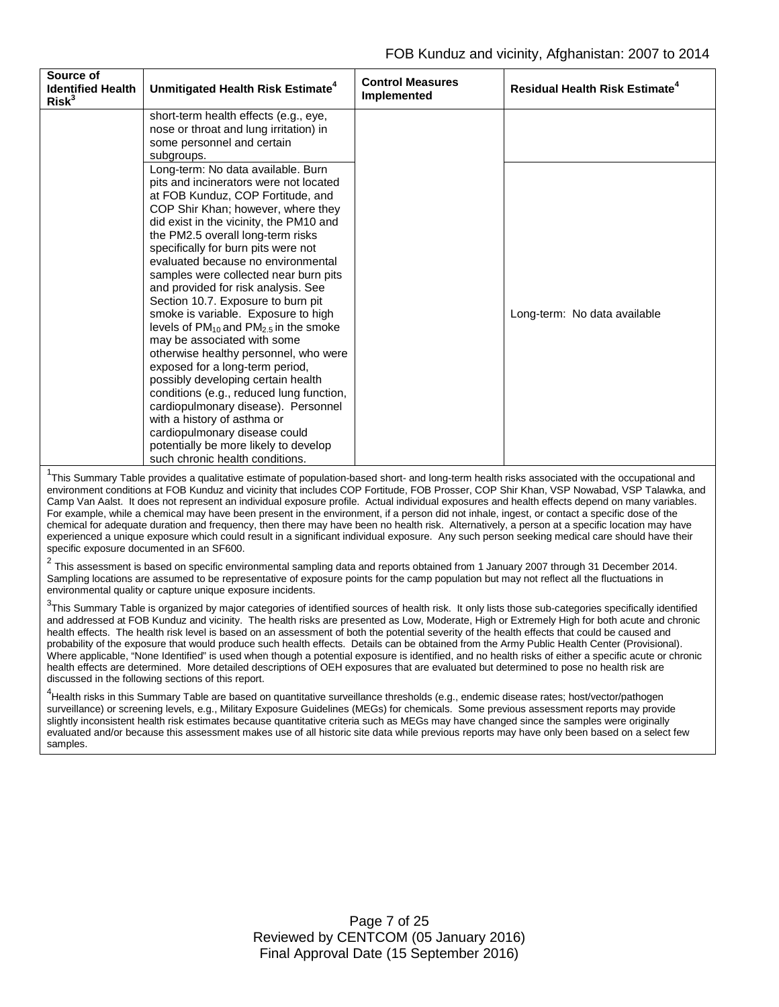| Source of<br><b>Identified Health</b><br>Risk <sup>3</sup> | Unmitigated Health Risk Estimate <sup>4</sup>                                                                                                                                                                                                                                                                                                                                                                                                                                                                                                                                                                                                                                                                                                                                                                                                                                                                        | <b>Control Measures</b><br><b>Implemented</b> | <b>Residual Health Risk Estimate<sup>4</sup></b> |
|------------------------------------------------------------|----------------------------------------------------------------------------------------------------------------------------------------------------------------------------------------------------------------------------------------------------------------------------------------------------------------------------------------------------------------------------------------------------------------------------------------------------------------------------------------------------------------------------------------------------------------------------------------------------------------------------------------------------------------------------------------------------------------------------------------------------------------------------------------------------------------------------------------------------------------------------------------------------------------------|-----------------------------------------------|--------------------------------------------------|
|                                                            | short-term health effects (e.g., eye,<br>nose or throat and lung irritation) in                                                                                                                                                                                                                                                                                                                                                                                                                                                                                                                                                                                                                                                                                                                                                                                                                                      |                                               |                                                  |
|                                                            | some personnel and certain<br>subgroups.                                                                                                                                                                                                                                                                                                                                                                                                                                                                                                                                                                                                                                                                                                                                                                                                                                                                             |                                               |                                                  |
|                                                            | Long-term: No data available. Burn<br>pits and incinerators were not located<br>at FOB Kunduz, COP Fortitude, and<br>COP Shir Khan; however, where they<br>did exist in the vicinity, the PM10 and<br>the PM2.5 overall long-term risks<br>specifically for burn pits were not<br>evaluated because no environmental<br>samples were collected near burn pits<br>and provided for risk analysis. See<br>Section 10.7. Exposure to burn pit<br>smoke is variable. Exposure to high<br>levels of $PM_{10}$ and $PM_{2.5}$ in the smoke<br>may be associated with some<br>otherwise healthy personnel, who were<br>exposed for a long-term period,<br>possibly developing certain health<br>conditions (e.g., reduced lung function,<br>cardiopulmonary disease). Personnel<br>with a history of asthma or<br>cardiopulmonary disease could<br>potentially be more likely to develop<br>such chronic health conditions. |                                               | Long-term: No data available                     |

<sup>1</sup>This Summary Table provides a qualitative estimate of population-based short- and long-term health risks associated with the occupational and environment conditions at FOB Kunduz and vicinity that includes COP Fortitude, FOB Prosser, COP Shir Khan, VSP Nowabad, VSP Talawka, and Camp Van Aalst. It does not represent an individual exposure profile. Actual individual exposures and health effects depend on many variables. For example, while a chemical may have been present in the environment, if a person did not inhale, ingest, or contact a specific dose of the chemical for adequate duration and frequency, then there may have been no health risk. Alternatively, a person at a specific location may have experienced a unique exposure which could result in a significant individual exposure. Any such person seeking medical care should have their specific exposure documented in an SF600.

 $^2$  This assessment is based on specific environmental sampling data and reports obtained from 1 January 2007 through 31 December 2014. Sampling locations are assumed to be representative of exposure points for the camp population but may not reflect all the fluctuations in environmental quality or capture unique exposure incidents.

 $^3$ This Summary Table is organized by major categories of identified sources of health risk. It only lists those sub-categories specifically identified and addressed at FOB Kunduz and vicinity. The health risks are presented as Low, Moderate, High or Extremely High for both acute and chronic health effects. The health risk level is based on an assessment of both the potential severity of the health effects that could be caused and probability of the exposure that would produce such health effects. Details can be obtained from the Army Public Health Center (Provisional). Where applicable, "None Identified" is used when though a potential exposure is identified, and no health risks of either a specific acute or chronic health effects are determined. More detailed descriptions of OEH exposures that are evaluated but determined to pose no health risk are discussed in the following sections of this report.

<sup>4</sup>Health risks in this Summary Table are based on quantitative surveillance thresholds (e.g., endemic disease rates; host/vector/pathogen surveillance) or screening levels, e.g., Military Exposure Guidelines (MEGs) for chemicals. Some previous assessment reports may provide slightly inconsistent health risk estimates because quantitative criteria such as MEGs may have changed since the samples were originally evaluated and/or because this assessment makes use of all historic site data while previous reports may have only been based on a select few samples.

> Page 7 of 25 Reviewed by CENTCOM (05 January 2016) Final Approval Date (15 September 2016)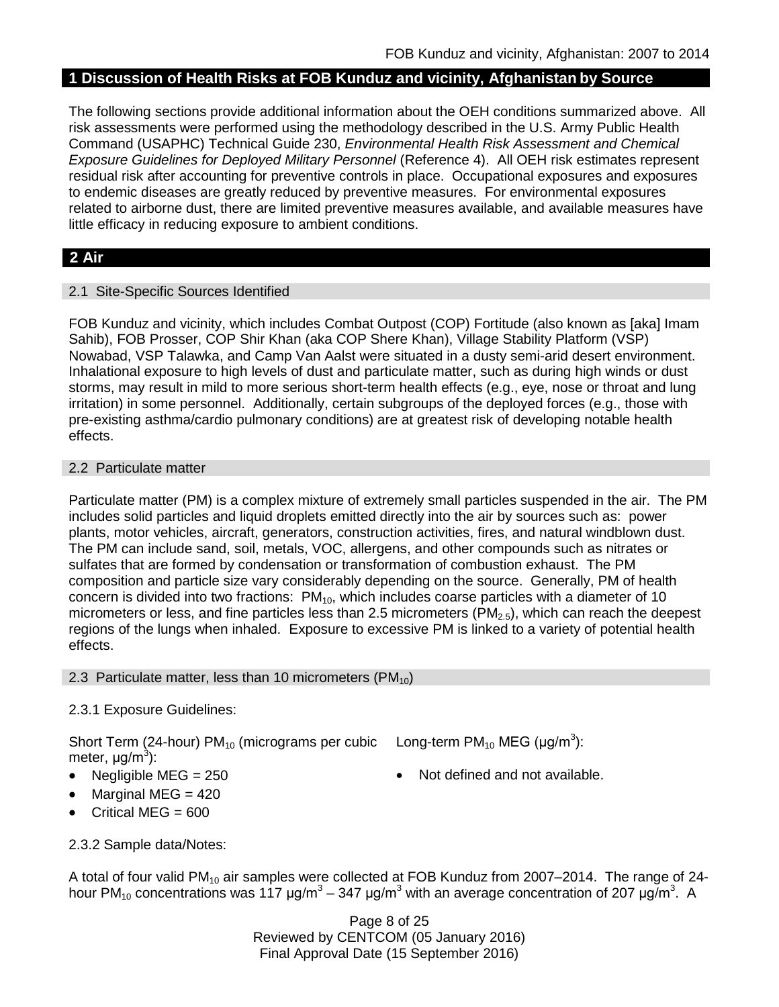## **1 Discussion of Health Risks at FOB Kunduz and vicinity, Afghanistan by Source**

The following sections provide additional information about the OEH conditions summarized above. All risk assessments were performed using the methodology described in the U.S. Army Public Health Command (USAPHC) Technical Guide 230, *Environmental Health Risk Assessment and Chemical Exposure Guidelines for Deployed Military Personnel* (Reference 4). All OEH risk estimates represent residual risk after accounting for preventive controls in place. Occupational exposures and exposures to endemic diseases are greatly reduced by preventive measures. For environmental exposures related to airborne dust, there are limited preventive measures available, and available measures have little efficacy in reducing exposure to ambient conditions.

## **2 Air**

### 2.1 Site-Specific Sources Identified

FOB Kunduz and vicinity, which includes Combat Outpost (COP) Fortitude (also known as [aka] Imam Sahib), FOB Prosser, COP Shir Khan (aka COP Shere Khan), Village Stability Platform (VSP) Nowabad, VSP Talawka, and Camp Van Aalst were situated in a dusty semi-arid desert environment. Inhalational exposure to high levels of dust and particulate matter, such as during high winds or dust storms, may result in mild to more serious short-term health effects (e.g., eye, nose or throat and lung irritation) in some personnel. Additionally, certain subgroups of the deployed forces (e.g., those with pre-existing asthma/cardio pulmonary conditions) are at greatest risk of developing notable health effects.

### 2.2 Particulate matter

Particulate matter (PM) is a complex mixture of extremely small particles suspended in the air. The PM includes solid particles and liquid droplets emitted directly into the air by sources such as: power plants, motor vehicles, aircraft, generators, construction activities, fires, and natural windblown dust. The PM can include sand, soil, metals, VOC, allergens, and other compounds such as nitrates or sulfates that are formed by condensation or transformation of combustion exhaust. The PM composition and particle size vary considerably depending on the source. Generally, PM of health concern is divided into two fractions: PM<sub>10</sub>, which includes coarse particles with a diameter of 10 micrometers or less, and fine particles less than 2.5 micrometers (PM<sub>2.5</sub>), which can reach the deepest regions of the lungs when inhaled. Exposure to excessive PM is linked to a variety of potential health effects.

#### 2.3 Particulate matter, less than 10 micrometers ( $PM_{10}$ )

### 2.3.1 Exposure Guidelines:

Short Term (24-hour) PM<sub>10</sub> (micrograms per cubic Long-term PM<sub>10</sub> MEG (µg/m<sup>3</sup>): meter, μg/m<sup>3</sup>):

- 
- Marginal MEG  $= 420$
- Critical MEG  $= 600$
- 
- Negligible MEG = 250 **•** Not defined and not available.
- 2.3.2 Sample data/Notes:

A total of four valid PM<sub>10</sub> air samples were collected at FOB Kunduz from 2007–2014. The range of 24hour PM<sub>10</sub> concentrations was 117 μg/m<sup>3</sup> – 347 μg/m<sup>3</sup> with an average concentration of 207 μg/m<sup>3</sup>. A

> Page 8 of 25 Reviewed by CENTCOM (05 January 2016) Final Approval Date (15 September 2016)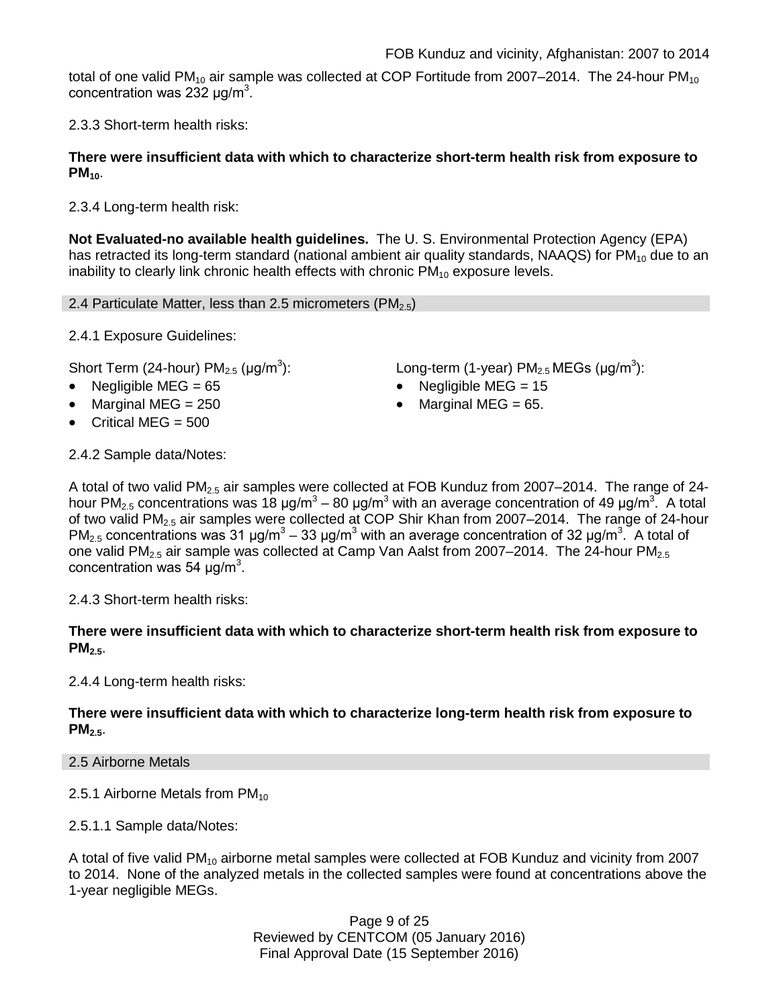total of one valid PM<sub>10</sub> air sample was collected at COP Fortitude from 2007–2014. The 24-hour PM<sub>10</sub> concentration was 232  $\mu$ g/m<sup>3</sup>.

2.3.3 Short-term health risks:

### **There were insufficient data with which to characterize short-term health risk from exposure to PM**<sub>10</sub>.

2.3.4 Long-term health risk:

**Not Evaluated-no available health guidelines.** The U. S. Environmental Protection Agency (EPA) has retracted its long-term standard (national ambient air quality standards, NAAQS) for  $PM_{10}$  due to an inability to clearly link chronic health effects with chronic  $PM_{10}$  exposure levels.

2.4 Particulate Matter, less than 2.5 micrometers (PM<sub>2.5</sub>)

2.4.1 Exposure Guidelines:

Short Term (24-hour)  $PM<sub>2.5</sub>$  (µg/m<sup>3</sup>):

- Negligible MEG = 65 Negligible MEG = 15
- Marginal MEG = 250 Marginal MEG = 65.
- Critical MEG  $= 500$

):  $\blacksquare$  Long-term (1-year) PM<sub>2.5</sub> MEGs (µg/m<sup>3</sup>):

- 
- 

2.4.2 Sample data/Notes:

A total of two valid PM<sub>2.5</sub> air samples were collected at FOB Kunduz from 2007–2014. The range of 24hour PM<sub>2.5</sub> concentrations was 18 μg/m<sup>3</sup> – 80 μg/m<sup>3</sup> with an average concentration of 49 μg/m<sup>3</sup>. A total of two valid PM2.5 air samples were collected at COP Shir Khan from 2007–2014. The range of 24-hour PM<sub>2.5</sub> concentrations was 31 μg/m<sup>3</sup> – 33 μg/m<sup>3</sup> with an average concentration of 32 μg/m<sup>3</sup>. A total of one valid PM<sub>2.5</sub> air sample was collected at Camp Van Aalst from 2007–2014. The 24-hour PM<sub>2.5</sub> concentration was 54  $\mu$ g/m<sup>3</sup>.

2.4.3 Short-term health risks:

**There were insufficient data with which to characterize short-term health risk from exposure to PM**<sub>25</sub>.

2.4.4 Long-term health risks:

**There were insufficient data with which to characterize long-term health risk from exposure to PM2.5**.

2.5 Airborne Metals

2.5.1 Airborne Metals from  $PM_{10}$ 

2.5.1.1 Sample data/Notes:

A total of five valid PM<sub>10</sub> airborne metal samples were collected at FOB Kunduz and vicinity from 2007 to 2014. None of the analyzed metals in the collected samples were found at concentrations above the 1-year negligible MEGs.

> Page 9 of 25 Reviewed by CENTCOM (05 January 2016) Final Approval Date (15 September 2016)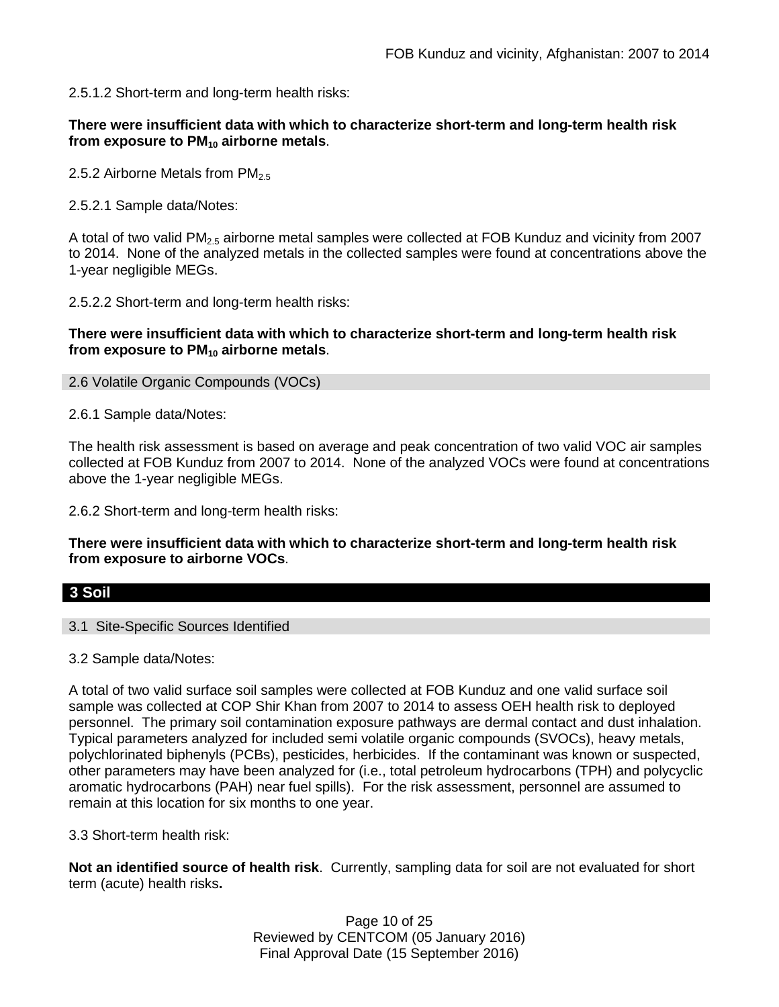2.5.1.2 Short-term and long-term health risks:

### **There were insufficient data with which to characterize short-term and long-term health risk from exposure to PM10 airborne metals**.

2.5.2 Airborne Metals from  $PM_{2.5}$ 

2.5.2.1 Sample data/Notes:

A total of two valid  $PM<sub>2.5</sub>$  airborne metal samples were collected at FOB Kunduz and vicinity from 2007 to 2014. None of the analyzed metals in the collected samples were found at concentrations above the 1-year negligible MEGs.

2.5.2.2 Short-term and long-term health risks:

### **There were insufficient data with which to characterize short-term and long-term health risk from exposure to PM10 airborne metals**.

2.6 Volatile Organic Compounds (VOCs)

2.6.1 Sample data/Notes:

The health risk assessment is based on average and peak concentration of two valid VOC air samples collected at FOB Kunduz from 2007 to 2014. None of the analyzed VOCs were found at concentrations above the 1-year negligible MEGs.

2.6.2 Short-term and long-term health risks:

**There were insufficient data with which to characterize short-term and long-term health risk from exposure to airborne VOCs**.

#### **3 Soil**

3.1 Site-Specific Sources Identified

3.2 Sample data/Notes:

A total of two valid surface soil samples were collected at FOB Kunduz and one valid surface soil sample was collected at COP Shir Khan from 2007 to 2014 to assess OEH health risk to deployed personnel. The primary soil contamination exposure pathways are dermal contact and dust inhalation. Typical parameters analyzed for included semi volatile organic compounds (SVOCs), heavy metals, polychlorinated biphenyls (PCBs), pesticides, herbicides. If the contaminant was known or suspected, other parameters may have been analyzed for (i.e., total petroleum hydrocarbons (TPH) and polycyclic aromatic hydrocarbons (PAH) near fuel spills). For the risk assessment, personnel are assumed to remain at this location for six months to one year.

3.3 Short-term health risk:

**Not an identified source of health risk**. Currently, sampling data for soil are not evaluated for short term (acute) health risks**.**

> Page 10 of 25 Reviewed by CENTCOM (05 January 2016) Final Approval Date (15 September 2016)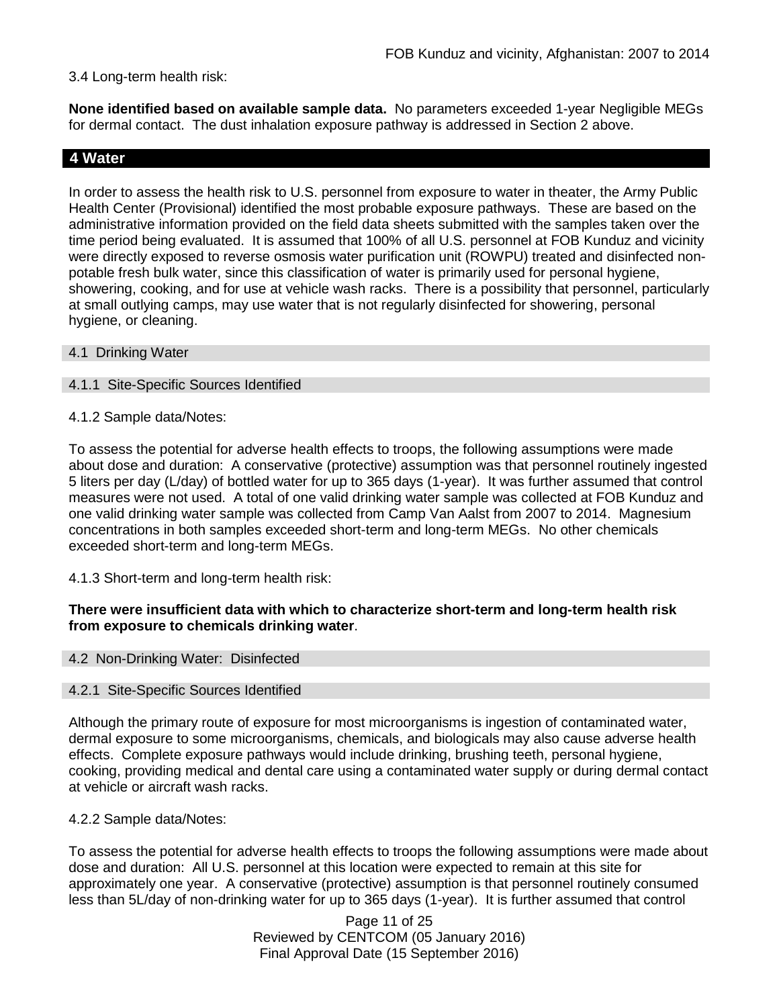### 3.4 Long-term health risk:

**None identified based on available sample data.** No parameters exceeded 1-year Negligible MEGs for dermal contact. The dust inhalation exposure pathway is addressed in Section 2 above.

### **4 Water**

In order to assess the health risk to U.S. personnel from exposure to water in theater, the Army Public Health Center (Provisional) identified the most probable exposure pathways. These are based on the administrative information provided on the field data sheets submitted with the samples taken over the time period being evaluated. It is assumed that 100% of all U.S. personnel at FOB Kunduz and vicinity were directly exposed to reverse osmosis water purification unit (ROWPU) treated and disinfected nonpotable fresh bulk water, since this classification of water is primarily used for personal hygiene, showering, cooking, and for use at vehicle wash racks. There is a possibility that personnel, particularly at small outlying camps, may use water that is not regularly disinfected for showering, personal hygiene, or cleaning.

#### 4.1 Drinking Water

#### 4.1.1 Site-Specific Sources Identified

4.1.2 Sample data/Notes:

To assess the potential for adverse health effects to troops, the following assumptions were made about dose and duration: A conservative (protective) assumption was that personnel routinely ingested 5 liters per day (L/day) of bottled water for up to 365 days (1-year). It was further assumed that control measures were not used. A total of one valid drinking water sample was collected at FOB Kunduz and one valid drinking water sample was collected from Camp Van Aalst from 2007 to 2014. Magnesium concentrations in both samples exceeded short-term and long-term MEGs. No other chemicals exceeded short-term and long-term MEGs.

4.1.3 Short-term and long-term health risk:

### **There were insufficient data with which to characterize short-term and long-term health risk from exposure to chemicals drinking water**.

#### 4.2 Non-Drinking Water: Disinfected

#### 4.2.1 Site-Specific Sources Identified

Although the primary route of exposure for most microorganisms is ingestion of contaminated water, dermal exposure to some microorganisms, chemicals, and biologicals may also cause adverse health effects. Complete exposure pathways would include drinking, brushing teeth, personal hygiene, cooking, providing medical and dental care using a contaminated water supply or during dermal contact at vehicle or aircraft wash racks.

4.2.2 Sample data/Notes:

To assess the potential for adverse health effects to troops the following assumptions were made about dose and duration: All U.S. personnel at this location were expected to remain at this site for approximately one year. A conservative (protective) assumption is that personnel routinely consumed less than 5L/day of non-drinking water for up to 365 days (1-year). It is further assumed that control

> Page 11 of 25 Reviewed by CENTCOM (05 January 2016) Final Approval Date (15 September 2016)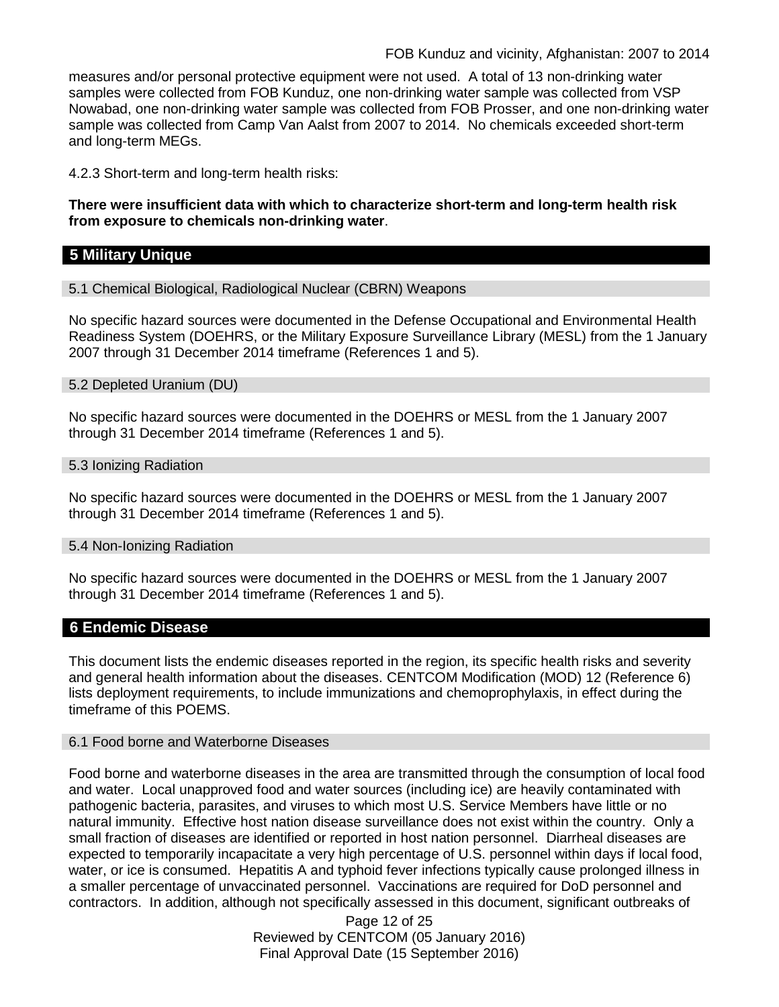measures and/or personal protective equipment were not used. A total of 13 non-drinking water samples were collected from FOB Kunduz, one non-drinking water sample was collected from VSP Nowabad, one non-drinking water sample was collected from FOB Prosser, and one non-drinking water sample was collected from Camp Van Aalst from 2007 to 2014. No chemicals exceeded short-term and long-term MEGs.

4.2.3 Short-term and long-term health risks:

**There were insufficient data with which to characterize short-term and long-term health risk from exposure to chemicals non-drinking water**.

## **5 Military Unique**

5.1 Chemical Biological, Radiological Nuclear (CBRN) Weapons

No specific hazard sources were documented in the Defense Occupational and Environmental Health Readiness System (DOEHRS, or the Military Exposure Surveillance Library (MESL) from the 1 January 2007 through 31 December 2014 timeframe (References 1 and 5).

5.2 Depleted Uranium (DU)

No specific hazard sources were documented in the DOEHRS or MESL from the 1 January 2007 through 31 December 2014 timeframe (References 1 and 5).

#### 5.3 Ionizing Radiation

No specific hazard sources were documented in the DOEHRS or MESL from the 1 January 2007 through 31 December 2014 timeframe (References 1 and 5).

#### 5.4 Non-Ionizing Radiation

No specific hazard sources were documented in the DOEHRS or MESL from the 1 January 2007 through 31 December 2014 timeframe (References 1 and 5).

### **6 Endemic Disease**

This document lists the endemic diseases reported in the region, its specific health risks and severity and general health information about the diseases. CENTCOM Modification (MOD) 12 (Reference 6) lists deployment requirements, to include immunizations and chemoprophylaxis, in effect during the timeframe of this POEMS.

#### 6.1 Food borne and Waterborne Diseases

Food borne and waterborne diseases in the area are transmitted through the consumption of local food and water. Local unapproved food and water sources (including ice) are heavily contaminated with pathogenic bacteria, parasites, and viruses to which most U.S. Service Members have little or no natural immunity. Effective host nation disease surveillance does not exist within the country. Only a small fraction of diseases are identified or reported in host nation personnel. Diarrheal diseases are expected to temporarily incapacitate a very high percentage of U.S. personnel within days if local food, water, or ice is consumed. Hepatitis A and typhoid fever infections typically cause prolonged illness in a smaller percentage of unvaccinated personnel. Vaccinations are required for DoD personnel and contractors. In addition, although not specifically assessed in this document, significant outbreaks of

> Page 12 of 25 Reviewed by CENTCOM (05 January 2016) Final Approval Date (15 September 2016)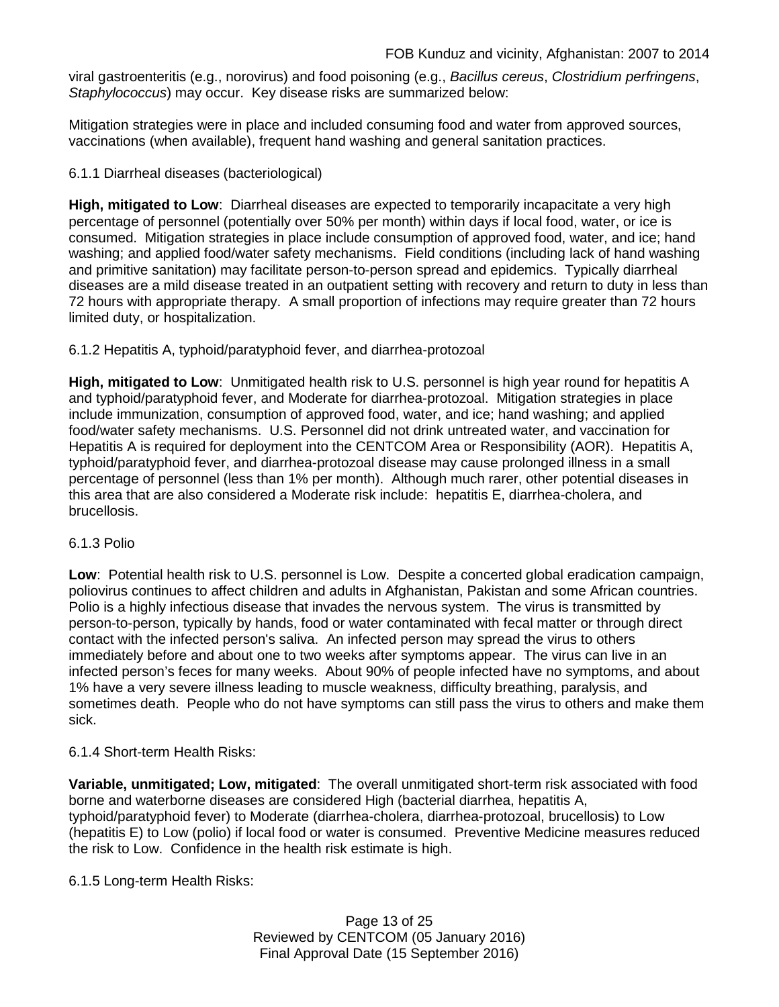viral gastroenteritis (e.g., norovirus) and food poisoning (e.g., *Bacillus cereus*, *Clostridium perfringens*, *Staphylococcus*) may occur. Key disease risks are summarized below:

Mitigation strategies were in place and included consuming food and water from approved sources, vaccinations (when available), frequent hand washing and general sanitation practices.

### 6.1.1 Diarrheal diseases (bacteriological)

**High, mitigated to Low**: Diarrheal diseases are expected to temporarily incapacitate a very high percentage of personnel (potentially over 50% per month) within days if local food, water, or ice is consumed. Mitigation strategies in place include consumption of approved food, water, and ice; hand washing; and applied food/water safety mechanisms. Field conditions (including lack of hand washing and primitive sanitation) may facilitate person-to-person spread and epidemics. Typically diarrheal diseases are a mild disease treated in an outpatient setting with recovery and return to duty in less than 72 hours with appropriate therapy. A small proportion of infections may require greater than 72 hours limited duty, or hospitalization.

### 6.1.2 Hepatitis A, typhoid/paratyphoid fever, and diarrhea-protozoal

**High, mitigated to Low**: Unmitigated health risk to U.S. personnel is high year round for hepatitis A and typhoid/paratyphoid fever, and Moderate for diarrhea-protozoal. Mitigation strategies in place include immunization, consumption of approved food, water, and ice; hand washing; and applied food/water safety mechanisms. U.S. Personnel did not drink untreated water, and vaccination for Hepatitis A is required for deployment into the CENTCOM Area or Responsibility (AOR). Hepatitis A, typhoid/paratyphoid fever, and diarrhea-protozoal disease may cause prolonged illness in a small percentage of personnel (less than 1% per month). Although much rarer, other potential diseases in this area that are also considered a Moderate risk include: hepatitis E, diarrhea-cholera, and brucellosis.

#### 6.1.3 Polio

**Low**: Potential health risk to U.S. personnel is Low. Despite a concerted global eradication campaign, poliovirus continues to affect children and adults in Afghanistan, Pakistan and some African countries. Polio is a highly infectious disease that invades the nervous system. The virus is transmitted by person-to-person, typically by hands, food or water contaminated with fecal matter or through direct contact with the infected person's saliva. An infected person may spread the virus to others immediately before and about one to two weeks after symptoms appear. The virus can live in an infected person's feces for many weeks. About 90% of people infected have no symptoms, and about 1% have a very severe illness leading to muscle weakness, difficulty breathing, paralysis, and sometimes death. People who do not have symptoms can still pass the virus to others and make them sick.

### 6.1.4 Short-term Health Risks:

**Variable, unmitigated; Low, mitigated**: The overall unmitigated short-term risk associated with food borne and waterborne diseases are considered High (bacterial diarrhea, hepatitis A, typhoid/paratyphoid fever) to Moderate (diarrhea-cholera, diarrhea-protozoal, brucellosis) to Low (hepatitis E) to Low (polio) if local food or water is consumed. Preventive Medicine measures reduced the risk to Low. Confidence in the health risk estimate is high.

6.1.5 Long-term Health Risks:

Page 13 of 25 Reviewed by CENTCOM (05 January 2016) Final Approval Date (15 September 2016)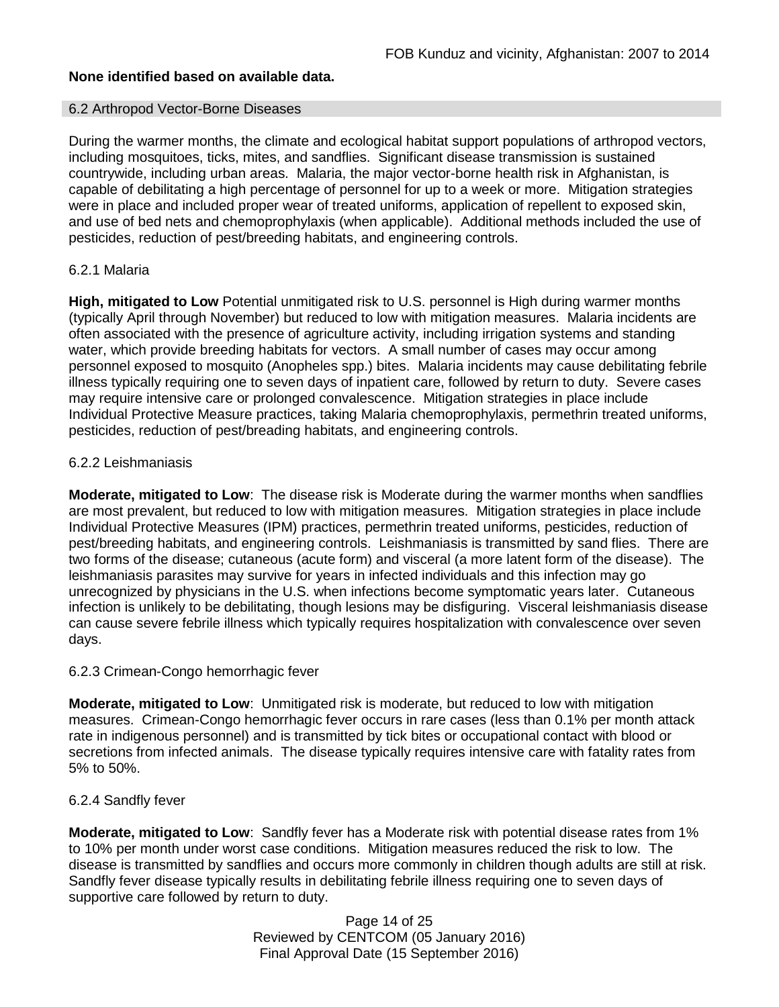### **None identified based on available data.**

#### 6.2 Arthropod Vector-Borne Diseases

During the warmer months, the climate and ecological habitat support populations of arthropod vectors, including mosquitoes, ticks, mites, and sandflies. Significant disease transmission is sustained countrywide, including urban areas. Malaria, the major vector-borne health risk in Afghanistan, is capable of debilitating a high percentage of personnel for up to a week or more. Mitigation strategies were in place and included proper wear of treated uniforms, application of repellent to exposed skin, and use of bed nets and chemoprophylaxis (when applicable). Additional methods included the use of pesticides, reduction of pest/breeding habitats, and engineering controls.

#### 6.2.1 Malaria

**High, mitigated to Low** Potential unmitigated risk to U.S. personnel is High during warmer months (typically April through November) but reduced to low with mitigation measures. Malaria incidents are often associated with the presence of agriculture activity, including irrigation systems and standing water, which provide breeding habitats for vectors. A small number of cases may occur among personnel exposed to mosquito (Anopheles spp.) bites. Malaria incidents may cause debilitating febrile illness typically requiring one to seven days of inpatient care, followed by return to duty. Severe cases may require intensive care or prolonged convalescence. Mitigation strategies in place include Individual Protective Measure practices, taking Malaria chemoprophylaxis, permethrin treated uniforms, pesticides, reduction of pest/breading habitats, and engineering controls.

#### 6.2.2 Leishmaniasis

**Moderate, mitigated to Low**: The disease risk is Moderate during the warmer months when sandflies are most prevalent, but reduced to low with mitigation measures. Mitigation strategies in place include Individual Protective Measures (IPM) practices, permethrin treated uniforms, pesticides, reduction of pest/breeding habitats, and engineering controls. Leishmaniasis is transmitted by sand flies. There are two forms of the disease; cutaneous (acute form) and visceral (a more latent form of the disease). The leishmaniasis parasites may survive for years in infected individuals and this infection may go unrecognized by physicians in the U.S. when infections become symptomatic years later. Cutaneous infection is unlikely to be debilitating, though lesions may be disfiguring. Visceral leishmaniasis disease can cause severe febrile illness which typically requires hospitalization with convalescence over seven days.

#### 6.2.3 Crimean-Congo hemorrhagic fever

**Moderate, mitigated to Low:** Unmitigated risk is moderate, but reduced to low with mitigation measures. Crimean-Congo hemorrhagic fever occurs in rare cases (less than 0.1% per month attack rate in indigenous personnel) and is transmitted by tick bites or occupational contact with blood or secretions from infected animals. The disease typically requires intensive care with fatality rates from 5% to 50%.

### 6.2.4 Sandfly fever

**Moderate, mitigated to Low**: Sandfly fever has a Moderate risk with potential disease rates from 1% to 10% per month under worst case conditions. Mitigation measures reduced the risk to low. The disease is transmitted by sandflies and occurs more commonly in children though adults are still at risk. Sandfly fever disease typically results in debilitating febrile illness requiring one to seven days of supportive care followed by return to duty.

> Page 14 of 25 Reviewed by CENTCOM (05 January 2016) Final Approval Date (15 September 2016)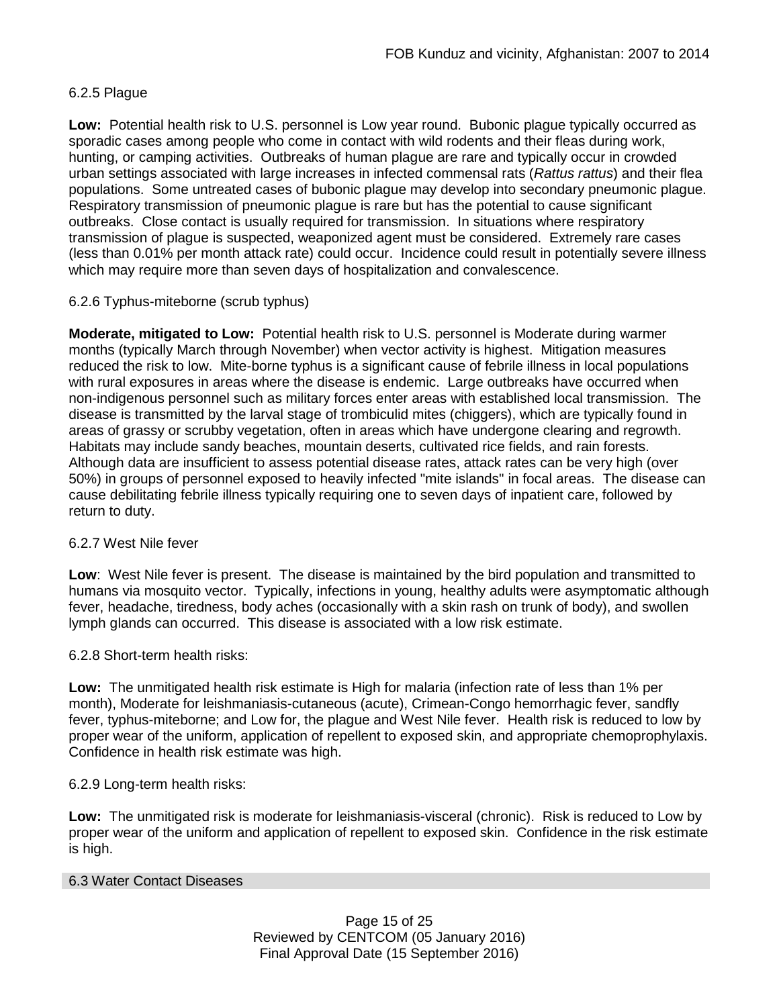### 6.2.5 Plague

**Low:** Potential health risk to U.S. personnel is Low year round. Bubonic plague typically occurred as sporadic cases among people who come in contact with wild rodents and their fleas during work, hunting, or camping activities. Outbreaks of human plague are rare and typically occur in crowded urban settings associated with large increases in infected commensal rats (*Rattus rattus*) and their flea populations. Some untreated cases of bubonic plague may develop into secondary pneumonic plague. Respiratory transmission of pneumonic plague is rare but has the potential to cause significant outbreaks. Close contact is usually required for transmission. In situations where respiratory transmission of plague is suspected, weaponized agent must be considered. Extremely rare cases (less than 0.01% per month attack rate) could occur. Incidence could result in potentially severe illness which may require more than seven days of hospitalization and convalescence.

### 6.2.6 Typhus-miteborne (scrub typhus)

**Moderate, mitigated to Low:** Potential health risk to U.S. personnel is Moderate during warmer months (typically March through November) when vector activity is highest. Mitigation measures reduced the risk to low. Mite-borne typhus is a significant cause of febrile illness in local populations with rural exposures in areas where the disease is endemic. Large outbreaks have occurred when non-indigenous personnel such as military forces enter areas with established local transmission. The disease is transmitted by the larval stage of trombiculid mites (chiggers), which are typically found in areas of grassy or scrubby vegetation, often in areas which have undergone clearing and regrowth. Habitats may include sandy beaches, mountain deserts, cultivated rice fields, and rain forests. Although data are insufficient to assess potential disease rates, attack rates can be very high (over 50%) in groups of personnel exposed to heavily infected "mite islands" in focal areas. The disease can cause debilitating febrile illness typically requiring one to seven days of inpatient care, followed by return to duty.

### 6.2.7 West Nile fever

**Low**: West Nile fever is present. The disease is maintained by the bird population and transmitted to humans via mosquito vector. Typically, infections in young, healthy adults were asymptomatic although fever, headache, tiredness, body aches (occasionally with a skin rash on trunk of body), and swollen lymph glands can occurred. This disease is associated with a low risk estimate.

### 6.2.8 Short-term health risks:

**Low:** The unmitigated health risk estimate is High for malaria (infection rate of less than 1% per month), Moderate for leishmaniasis-cutaneous (acute), Crimean-Congo hemorrhagic fever, sandfly fever, typhus-miteborne; and Low for, the plague and West Nile fever. Health risk is reduced to low by proper wear of the uniform, application of repellent to exposed skin, and appropriate chemoprophylaxis. Confidence in health risk estimate was high.

#### 6.2.9 Long-term health risks:

**Low:** The unmitigated risk is moderate for leishmaniasis-visceral (chronic). Risk is reduced to Low by proper wear of the uniform and application of repellent to exposed skin. Confidence in the risk estimate is high.

#### 6.3 Water Contact Diseases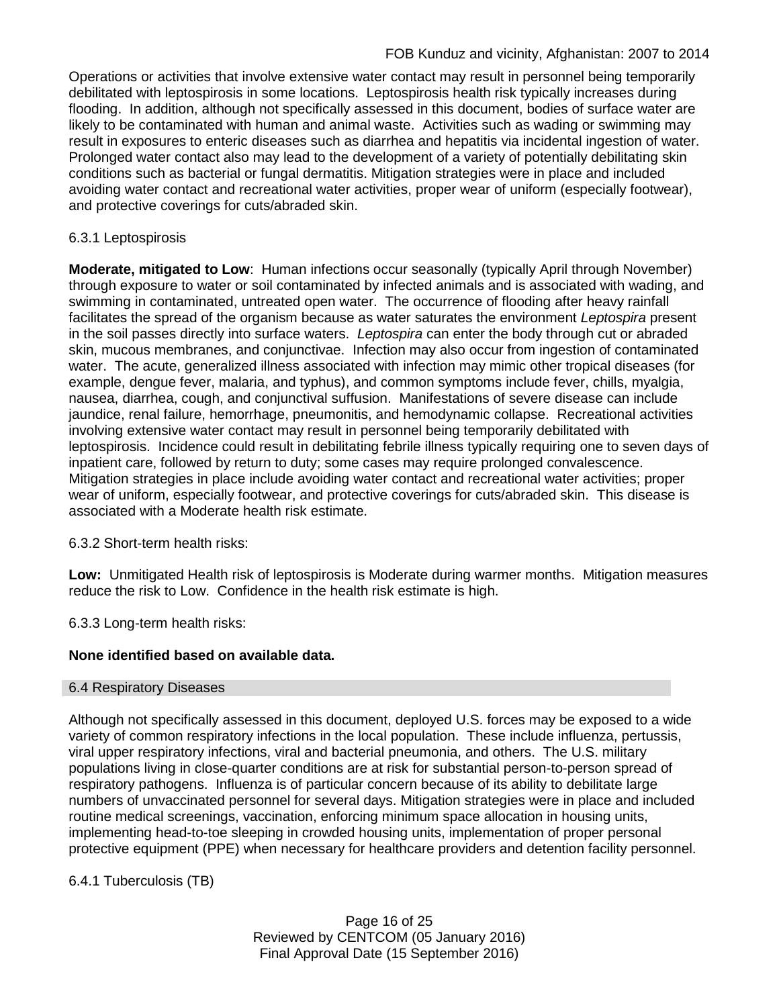Operations or activities that involve extensive water contact may result in personnel being temporarily debilitated with leptospirosis in some locations. Leptospirosis health risk typically increases during flooding. In addition, although not specifically assessed in this document, bodies of surface water are likely to be contaminated with human and animal waste. Activities such as wading or swimming may result in exposures to enteric diseases such as diarrhea and hepatitis via incidental ingestion of water. Prolonged water contact also may lead to the development of a variety of potentially debilitating skin conditions such as bacterial or fungal dermatitis. Mitigation strategies were in place and included avoiding water contact and recreational water activities, proper wear of uniform (especially footwear), and protective coverings for cuts/abraded skin.

## 6.3.1 Leptospirosis

**Moderate, mitigated to Low**: Human infections occur seasonally (typically April through November) through exposure to water or soil contaminated by infected animals and is associated with wading, and swimming in contaminated, untreated open water. The occurrence of flooding after heavy rainfall facilitates the spread of the organism because as water saturates the environment *Leptospira* present in the soil passes directly into surface waters. *Leptospira* can enter the body through cut or abraded skin, mucous membranes, and conjunctivae. Infection may also occur from ingestion of contaminated water. The acute, generalized illness associated with infection may mimic other tropical diseases (for example, dengue fever, malaria, and typhus), and common symptoms include fever, chills, myalgia, nausea, diarrhea, cough, and conjunctival suffusion. Manifestations of severe disease can include jaundice, renal failure, hemorrhage, pneumonitis, and hemodynamic collapse. Recreational activities involving extensive water contact may result in personnel being temporarily debilitated with leptospirosis. Incidence could result in debilitating febrile illness typically requiring one to seven days of inpatient care, followed by return to duty; some cases may require prolonged convalescence. Mitigation strategies in place include avoiding water contact and recreational water activities; proper wear of uniform, especially footwear, and protective coverings for cuts/abraded skin. This disease is associated with a Moderate health risk estimate.

6.3.2 Short-term health risks:

**Low:** Unmitigated Health risk of leptospirosis is Moderate during warmer months. Mitigation measures reduce the risk to Low. Confidence in the health risk estimate is high.

6.3.3 Long-term health risks:

### **None identified based on available data.**

#### 6.4 Respiratory Diseases

Although not specifically assessed in this document, deployed U.S. forces may be exposed to a wide variety of common respiratory infections in the local population. These include influenza, pertussis, viral upper respiratory infections, viral and bacterial pneumonia, and others. The U.S. military populations living in close-quarter conditions are at risk for substantial person-to-person spread of respiratory pathogens. Influenza is of particular concern because of its ability to debilitate large numbers of unvaccinated personnel for several days. Mitigation strategies were in place and included routine medical screenings, vaccination, enforcing minimum space allocation in housing units, implementing head-to-toe sleeping in crowded housing units, implementation of proper personal protective equipment (PPE) when necessary for healthcare providers and detention facility personnel.

6.4.1 Tuberculosis (TB)

Page 16 of 25 Reviewed by CENTCOM (05 January 2016) Final Approval Date (15 September 2016)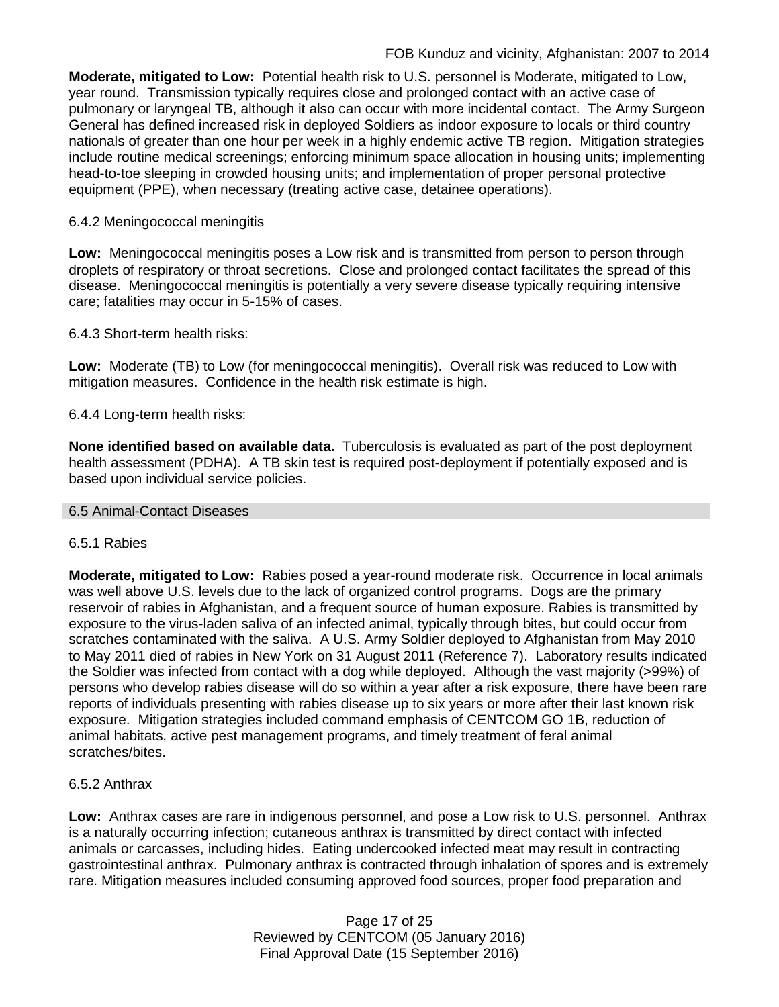**Moderate, mitigated to Low:** Potential health risk to U.S. personnel is Moderate, mitigated to Low, year round. Transmission typically requires close and prolonged contact with an active case of pulmonary or laryngeal TB, although it also can occur with more incidental contact. The Army Surgeon General has defined increased risk in deployed Soldiers as indoor exposure to locals or third country nationals of greater than one hour per week in a highly endemic active TB region. Mitigation strategies include routine medical screenings; enforcing minimum space allocation in housing units; implementing head-to-toe sleeping in crowded housing units; and implementation of proper personal protective equipment (PPE), when necessary (treating active case, detainee operations).

### 6.4.2 Meningococcal meningitis

**Low:** Meningococcal meningitis poses a Low risk and is transmitted from person to person through droplets of respiratory or throat secretions. Close and prolonged contact facilitates the spread of this disease. Meningococcal meningitis is potentially a very severe disease typically requiring intensive care; fatalities may occur in 5-15% of cases.

6.4.3 Short-term health risks:

**Low:** Moderate (TB) to Low (for meningococcal meningitis). Overall risk was reduced to Low with mitigation measures. Confidence in the health risk estimate is high.

6.4.4 Long-term health risks:

**None identified based on available data.** Tuberculosis is evaluated as part of the post deployment health assessment (PDHA). A TB skin test is required post-deployment if potentially exposed and is based upon individual service policies.

#### 6.5 Animal-Contact Diseases

### 6.5.1 Rabies

**Moderate, mitigated to Low:** Rabies posed a year-round moderate risk. Occurrence in local animals was well above U.S. levels due to the lack of organized control programs. Dogs are the primary reservoir of rabies in Afghanistan, and a frequent source of human exposure. Rabies is transmitted by exposure to the virus-laden saliva of an infected animal, typically through bites, but could occur from scratches contaminated with the saliva. A U.S. Army Soldier deployed to Afghanistan from May 2010 to May 2011 died of rabies in New York on 31 August 2011 (Reference 7). Laboratory results indicated the Soldier was infected from contact with a dog while deployed. Although the vast majority (>99%) of persons who develop rabies disease will do so within a year after a risk exposure, there have been rare reports of individuals presenting with rabies disease up to six years or more after their last known risk exposure. Mitigation strategies included command emphasis of CENTCOM GO 1B, reduction of animal habitats, active pest management programs, and timely treatment of feral animal scratches/bites.

#### 6.5.2 Anthrax

**Low:** Anthrax cases are rare in indigenous personnel, and pose a Low risk to U.S. personnel. Anthrax is a naturally occurring infection; cutaneous anthrax is transmitted by direct contact with infected animals or carcasses, including hides. Eating undercooked infected meat may result in contracting gastrointestinal anthrax. Pulmonary anthrax is contracted through inhalation of spores and is extremely rare. Mitigation measures included consuming approved food sources, proper food preparation and

> Page 17 of 25 Reviewed by CENTCOM (05 January 2016) Final Approval Date (15 September 2016)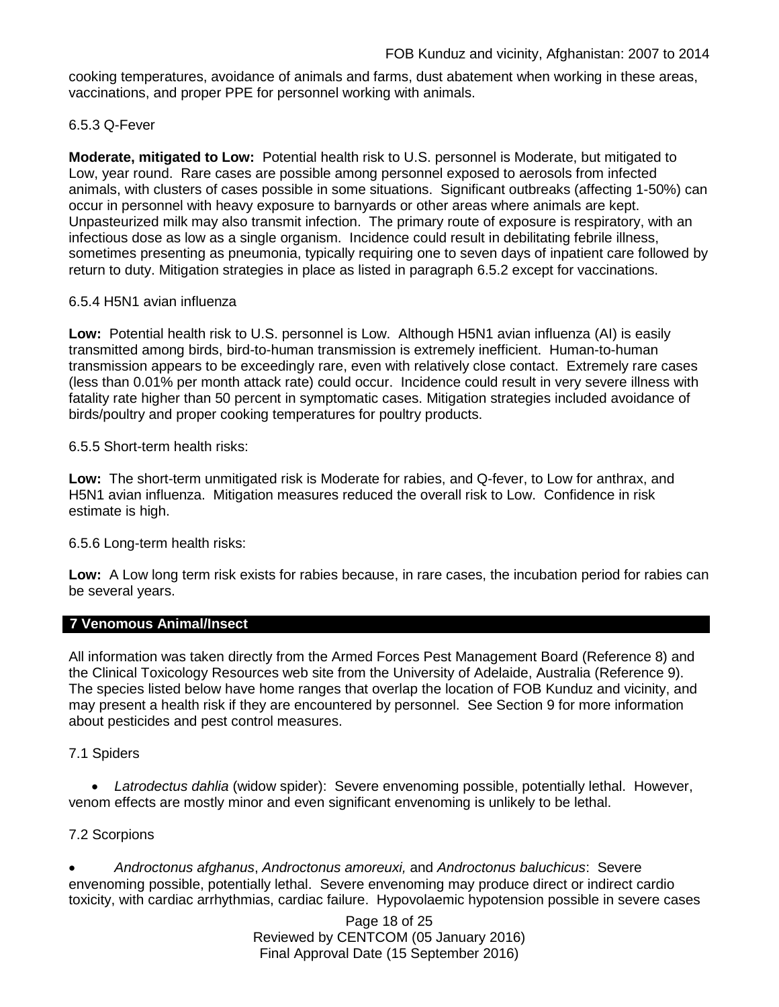cooking temperatures, avoidance of animals and farms, dust abatement when working in these areas, vaccinations, and proper PPE for personnel working with animals.

### 6.5.3 Q-Fever

**Moderate, mitigated to Low:** Potential health risk to U.S. personnel is Moderate, but mitigated to Low, year round. Rare cases are possible among personnel exposed to aerosols from infected animals, with clusters of cases possible in some situations. Significant outbreaks (affecting 1-50%) can occur in personnel with heavy exposure to barnyards or other areas where animals are kept. Unpasteurized milk may also transmit infection. The primary route of exposure is respiratory, with an infectious dose as low as a single organism. Incidence could result in debilitating febrile illness, sometimes presenting as pneumonia, typically requiring one to seven days of inpatient care followed by return to duty. Mitigation strategies in place as listed in paragraph 6.5.2 except for vaccinations.

### 6.5.4 H5N1 avian influenza

**Low:** Potential health risk to U.S. personnel is Low. Although H5N1 avian influenza (AI) is easily transmitted among birds, bird-to-human transmission is extremely inefficient. Human-to-human transmission appears to be exceedingly rare, even with relatively close contact. Extremely rare cases (less than 0.01% per month attack rate) could occur. Incidence could result in very severe illness with fatality rate higher than 50 percent in symptomatic cases. Mitigation strategies included avoidance of birds/poultry and proper cooking temperatures for poultry products.

6.5.5 Short-term health risks:

**Low:** The short-term unmitigated risk is Moderate for rabies, and Q-fever, to Low for anthrax, and H5N1 avian influenza. Mitigation measures reduced the overall risk to Low.Confidence in risk estimate is high.

6.5.6 Long-term health risks:

**Low:** A Low long term risk exists for rabies because, in rare cases, the incubation period for rabies can be several years.

### **7 Venomous Animal/Insect**

All information was taken directly from the Armed Forces Pest Management Board (Reference 8) and the Clinical Toxicology Resources web site from the University of Adelaide, Australia (Reference 9). The species listed below have home ranges that overlap the location of FOB Kunduz and vicinity, and may present a health risk if they are encountered by personnel. See Section 9 for more information about pesticides and pest control measures.

#### 7.1 Spiders

• *Latrodectus dahlia* (widow spider): Severe envenoming possible, potentially lethal. However, venom effects are mostly minor and even significant envenoming is unlikely to be lethal.

### 7.2 Scorpions

• *Androctonus afghanus*, *Androctonus amoreuxi,* and *Androctonus baluchicus*: Severe envenoming possible, potentially lethal. Severe envenoming may produce direct or indirect cardio toxicity, with cardiac arrhythmias, cardiac failure. Hypovolaemic hypotension possible in severe cases

> Page 18 of 25 Reviewed by CENTCOM (05 January 2016) Final Approval Date (15 September 2016)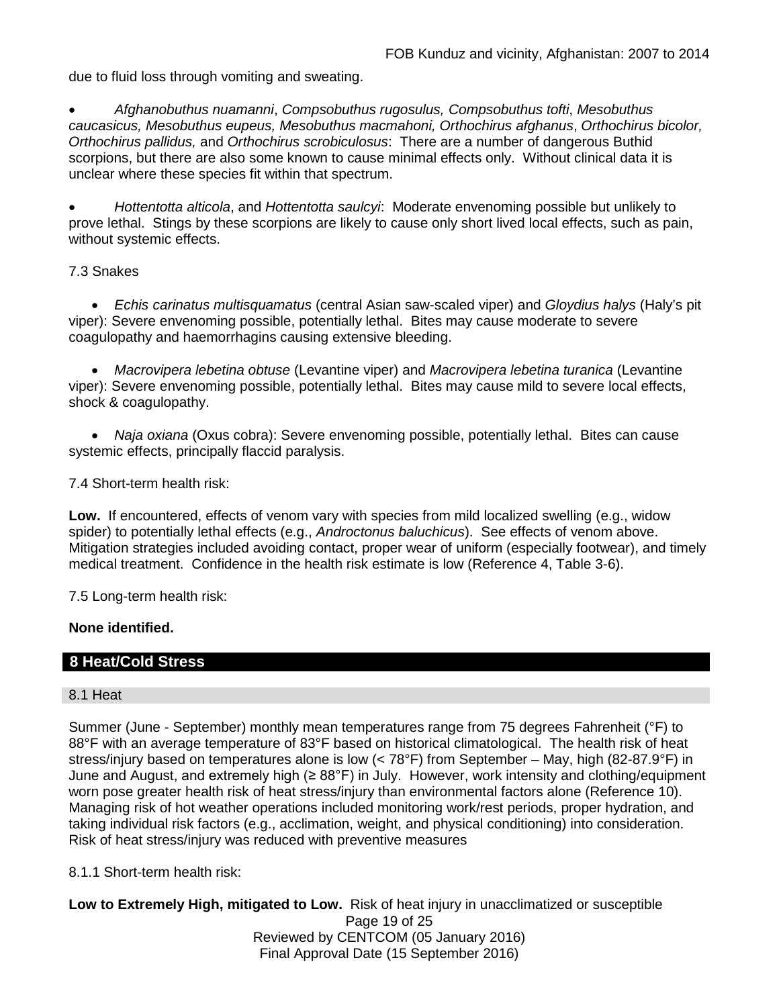due to fluid loss through vomiting and sweating.

• *Afghanobuthus nuamanni*, *Compsobuthus rugosulus, Compsobuthus tofti*, *Mesobuthus caucasicus, Mesobuthus eupeus, Mesobuthus macmahoni, Orthochirus afghanus*, *Orthochirus bicolor, Orthochirus pallidus,* and *Orthochirus scrobiculosus*: There are a number of dangerous Buthid scorpions, but there are also some known to cause minimal effects only. Without clinical data it is unclear where these species fit within that spectrum.

• *Hottentotta alticola*, and *Hottentotta saulcyi*: Moderate envenoming possible but unlikely to prove lethal. Stings by these scorpions are likely to cause only short lived local effects, such as pain, without systemic effects.

### 7.3 Snakes

• *Echis carinatus multisquamatus* (central Asian saw-scaled viper) and *Gloydius halys* (Haly's pit viper): Severe envenoming possible, potentially lethal. Bites may cause moderate to severe coagulopathy and haemorrhagins causing extensive bleeding.

• *Macrovipera lebetina obtuse* (Levantine viper) and *Macrovipera lebetina turanica* (Levantine viper): Severe envenoming possible, potentially lethal. Bites may cause mild to severe local effects, shock & coagulopathy.

• *Naja oxiana* (Oxus cobra): Severe envenoming possible, potentially lethal. Bites can cause systemic effects, principally flaccid paralysis.

7.4 Short-term health risk:

**Low.** If encountered, effects of venom vary with species from mild localized swelling (e.g., widow spider) to potentially lethal effects (e.g., *Androctonus baluchicus*). See effects of venom above. Mitigation strategies included avoiding contact, proper wear of uniform (especially footwear), and timely medical treatment. Confidence in the health risk estimate is low (Reference 4, Table 3-6).

7.5 Long-term health risk:

### **None identified.**

## **8 Heat/Cold Stress**

#### 8.1 Heat

Summer (June - September) monthly mean temperatures range from 75 degrees Fahrenheit (°F) to 88°F with an average temperature of 83°F based on historical climatological. The health risk of heat stress/injury based on temperatures alone is low (< 78°F) from September – May, high (82-87.9°F) in June and August, and extremely high (≥ 88°F) in July. However, work intensity and clothing/equipment worn pose greater health risk of heat stress/injury than environmental factors alone (Reference 10). Managing risk of hot weather operations included monitoring work/rest periods, proper hydration, and taking individual risk factors (e.g., acclimation, weight, and physical conditioning) into consideration. Risk of heat stress/injury was reduced with preventive measures

8.1.1 Short-term health risk:

Page 19 of 25 Reviewed by CENTCOM (05 January 2016) Final Approval Date (15 September 2016) **Low to Extremely High, mitigated to Low.** Risk of heat injury in unacclimatized or susceptible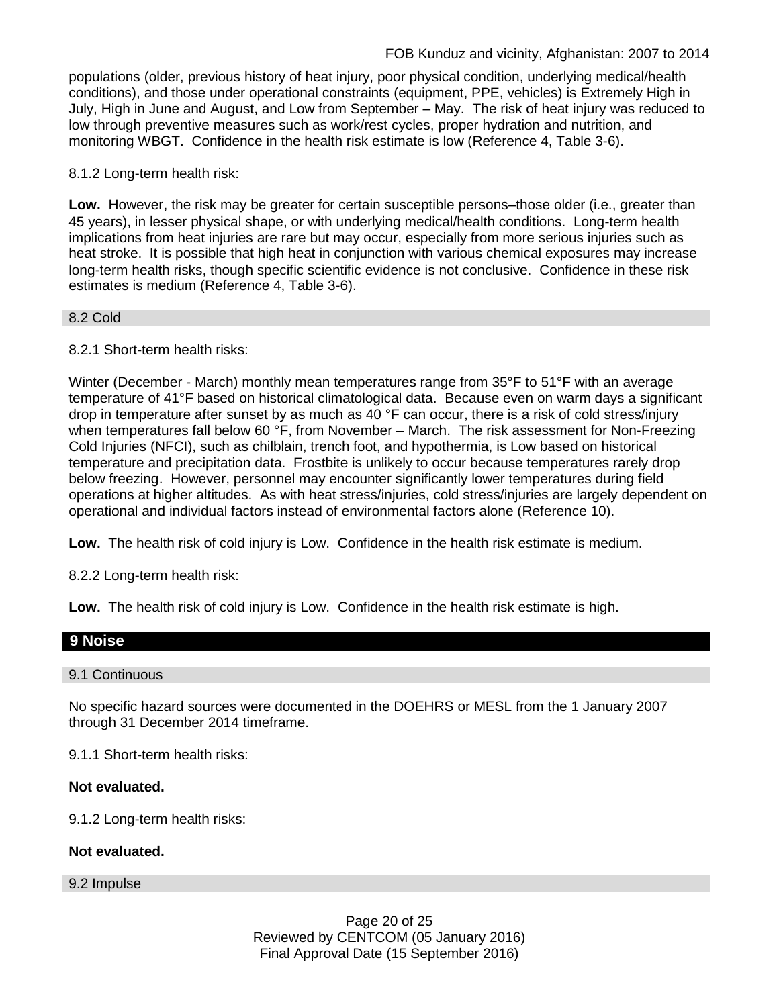populations (older, previous history of heat injury, poor physical condition, underlying medical/health conditions), and those under operational constraints (equipment, PPE, vehicles) is Extremely High in July, High in June and August, and Low from September – May. The risk of heat injury was reduced to low through preventive measures such as work/rest cycles, proper hydration and nutrition, and monitoring WBGT. Confidence in the health risk estimate is low (Reference 4, Table 3-6).

8.1.2 Long-term health risk:

**Low.** However, the risk may be greater for certain susceptible persons–those older (i.e., greater than 45 years), in lesser physical shape, or with underlying medical/health conditions. Long-term health implications from heat injuries are rare but may occur, especially from more serious injuries such as heat stroke. It is possible that high heat in conjunction with various chemical exposures may increase long-term health risks, though specific scientific evidence is not conclusive. Confidence in these risk estimates is medium (Reference 4, Table 3-6).

### 8.2 Cold

8.2.1 Short-term health risks:

Winter (December - March) monthly mean temperatures range from 35°F to 51°F with an average temperature of 41°F based on historical climatological data. Because even on warm days a significant drop in temperature after sunset by as much as 40 °F can occur, there is a risk of cold stress/injury when temperatures fall below 60 °F, from November – March. The risk assessment for Non-Freezing Cold Injuries (NFCI), such as chilblain, trench foot, and hypothermia, is Low based on historical temperature and precipitation data. Frostbite is unlikely to occur because temperatures rarely drop below freezing. However, personnel may encounter significantly lower temperatures during field operations at higher altitudes. As with heat stress/injuries, cold stress/injuries are largely dependent on operational and individual factors instead of environmental factors alone (Reference 10).

**Low.** The health risk of cold injury is Low. Confidence in the health risk estimate is medium.

8.2.2 Long-term health risk:

**Low.** The health risk of cold injury is Low. Confidence in the health risk estimate is high.

### **9 Noise**

### 9.1 Continuous

No specific hazard sources were documented in the DOEHRS or MESL from the 1 January 2007 through 31 December 2014 timeframe.

9.1.1 Short-term health risks:

### **Not evaluated.**

9.1.2 Long-term health risks:

### **Not evaluated.**

9.2 Impulse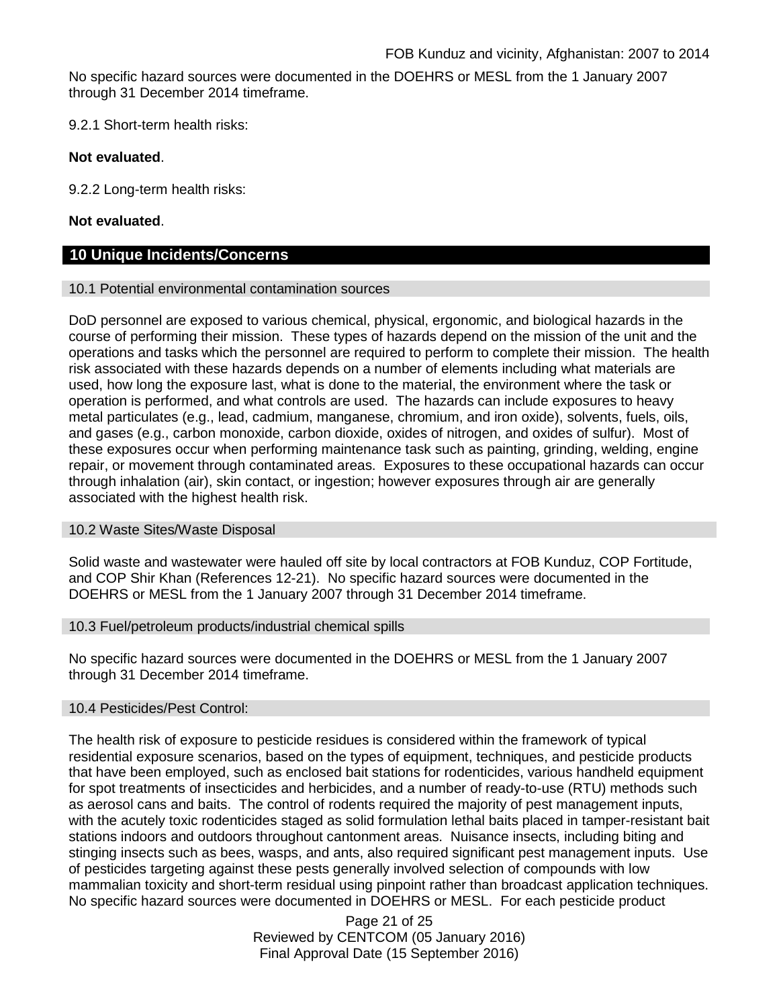No specific hazard sources were documented in the DOEHRS or MESL from the 1 January 2007 through 31 December 2014 timeframe.

9.2.1 Short-term health risks:

### **Not evaluated**.

9.2.2 Long-term health risks:

### **Not evaluated**.

## **10 Unique Incidents/Concerns**

#### 10.1 Potential environmental contamination sources

DoD personnel are exposed to various chemical, physical, ergonomic, and biological hazards in the course of performing their mission. These types of hazards depend on the mission of the unit and the operations and tasks which the personnel are required to perform to complete their mission. The health risk associated with these hazards depends on a number of elements including what materials are used, how long the exposure last, what is done to the material, the environment where the task or operation is performed, and what controls are used. The hazards can include exposures to heavy metal particulates (e.g., lead, cadmium, manganese, chromium, and iron oxide), solvents, fuels, oils, and gases (e.g., carbon monoxide, carbon dioxide, oxides of nitrogen, and oxides of sulfur). Most of these exposures occur when performing maintenance task such as painting, grinding, welding, engine repair, or movement through contaminated areas. Exposures to these occupational hazards can occur through inhalation (air), skin contact, or ingestion; however exposures through air are generally associated with the highest health risk.

#### 10.2 Waste Sites/Waste Disposal

Solid waste and wastewater were hauled off site by local contractors at FOB Kunduz, COP Fortitude, and COP Shir Khan (References 12-21). No specific hazard sources were documented in the DOEHRS or MESL from the 1 January 2007 through 31 December 2014 timeframe.

#### 10.3 Fuel/petroleum products/industrial chemical spills

No specific hazard sources were documented in the DOEHRS or MESL from the 1 January 2007 through 31 December 2014 timeframe.

#### 10.4 Pesticides/Pest Control:

The health risk of exposure to pesticide residues is considered within the framework of typical residential exposure scenarios, based on the types of equipment, techniques, and pesticide products that have been employed, such as enclosed bait stations for rodenticides, various handheld equipment for spot treatments of insecticides and herbicides, and a number of ready-to-use (RTU) methods such as aerosol cans and baits. The control of rodents required the majority of pest management inputs, with the acutely toxic rodenticides staged as solid formulation lethal baits placed in tamper-resistant bait stations indoors and outdoors throughout cantonment areas. Nuisance insects, including biting and stinging insects such as bees, wasps, and ants, also required significant pest management inputs. Use of pesticides targeting against these pests generally involved selection of compounds with low mammalian toxicity and short-term residual using pinpoint rather than broadcast application techniques. No specific hazard sources were documented in DOEHRS or MESL. For each pesticide product

> Page 21 of 25 Reviewed by CENTCOM (05 January 2016) Final Approval Date (15 September 2016)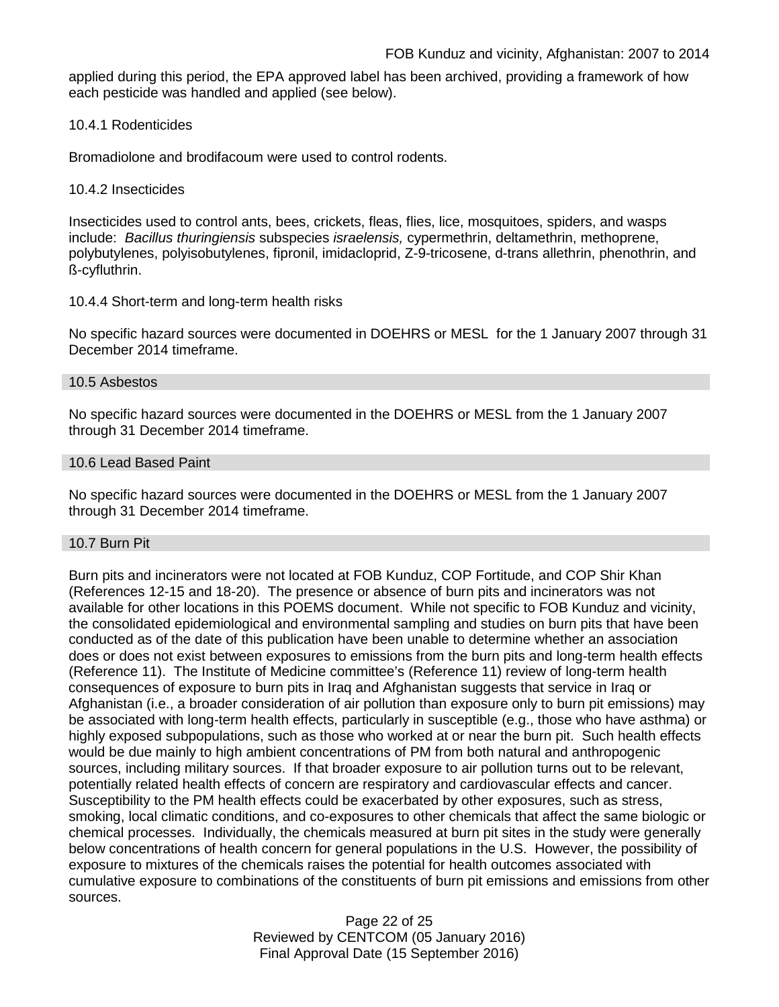applied during this period, the EPA approved label has been archived, providing a framework of how each pesticide was handled and applied (see below).

10.4.1 Rodenticides

Bromadiolone and brodifacoum were used to control rodents.

10.4.2 Insecticides

Insecticides used to control ants, bees, crickets, fleas, flies, lice, mosquitoes, spiders, and wasps include: *Bacillus thuringiensis* subspecies *israelensis,* cypermethrin, deltamethrin, methoprene, polybutylenes, polyisobutylenes, fipronil, imidacloprid, Z-9-tricosene, d-trans allethrin, phenothrin, and ß-cyfluthrin.

### 10.4.4 Short-term and long-term health risks

No specific hazard sources were documented in DOEHRS or MESL for the 1 January 2007 through 31 December 2014 timeframe.

### 10.5 Asbestos

No specific hazard sources were documented in the DOEHRS or MESL from the 1 January 2007 through 31 December 2014 timeframe.

### 10.6 Lead Based Paint

No specific hazard sources were documented in the DOEHRS or MESL from the 1 January 2007 through 31 December 2014 timeframe.

### 10.7 Burn Pit

Burn pits and incinerators were not located at FOB Kunduz, COP Fortitude, and COP Shir Khan (References 12-15 and 18-20). The presence or absence of burn pits and incinerators was not available for other locations in this POEMS document. While not specific to FOB Kunduz and vicinity, the consolidated epidemiological and environmental sampling and studies on burn pits that have been conducted as of the date of this publication have been unable to determine whether an association does or does not exist between exposures to emissions from the burn pits and long-term health effects (Reference 11). The Institute of Medicine committee's (Reference 11) review of long-term health consequences of exposure to burn pits in Iraq and Afghanistan suggests that service in Iraq or Afghanistan (i.e., a broader consideration of air pollution than exposure only to burn pit emissions) may be associated with long-term health effects, particularly in susceptible (e.g., those who have asthma) or highly exposed subpopulations, such as those who worked at or near the burn pit. Such health effects would be due mainly to high ambient concentrations of PM from both natural and anthropogenic sources, including military sources. If that broader exposure to air pollution turns out to be relevant, potentially related health effects of concern are respiratory and cardiovascular effects and cancer. Susceptibility to the PM health effects could be exacerbated by other exposures, such as stress, smoking, local climatic conditions, and co-exposures to other chemicals that affect the same biologic or chemical processes. Individually, the chemicals measured at burn pit sites in the study were generally below concentrations of health concern for general populations in the U.S. However, the possibility of exposure to mixtures of the chemicals raises the potential for health outcomes associated with cumulative exposure to combinations of the constituents of burn pit emissions and emissions from other sources.

> Page 22 of 25 Reviewed by CENTCOM (05 January 2016) Final Approval Date (15 September 2016)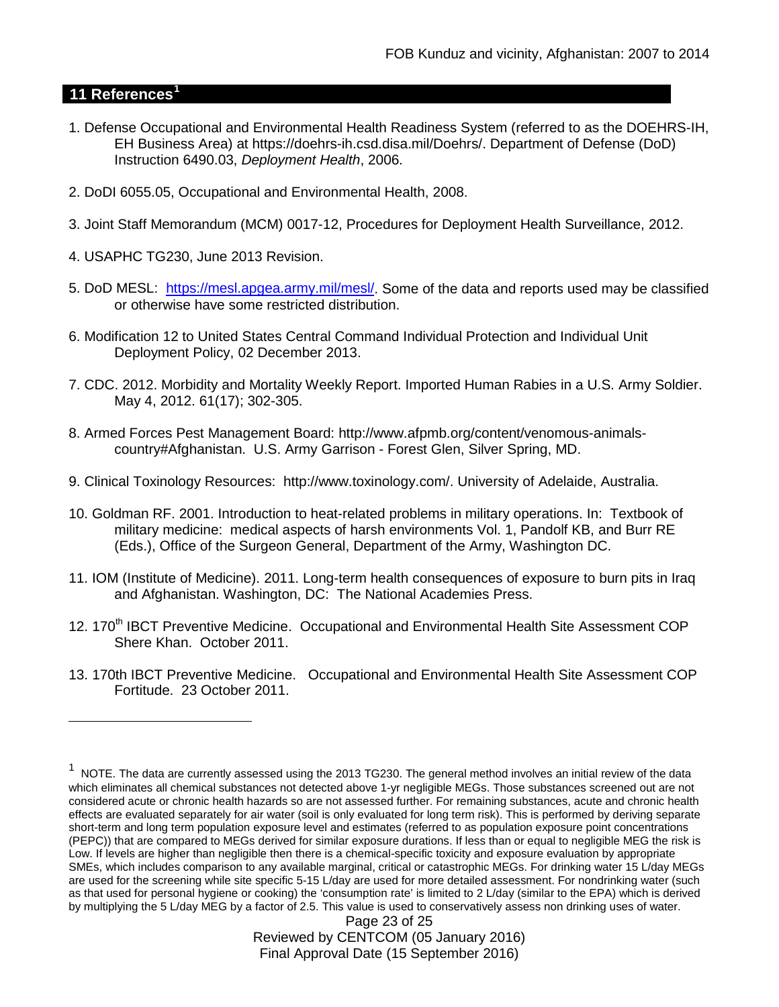### **11 References[1](#page-22-0)**

 $\overline{a}$ 

- 1. Defense Occupational and Environmental Health Readiness System (referred to as the DOEHRS-IH, EH Business Area) at https://doehrs-ih.csd.disa.mil/Doehrs/. Department of Defense (DoD) Instruction 6490.03, *Deployment Health*, 2006.
- 2. DoDI 6055.05, Occupational and Environmental Health, 2008.
- 3. Joint Staff Memorandum (MCM) 0017-12, Procedures for Deployment Health Surveillance, 2012.
- 4. USAPHC TG230, June 2013 Revision.
- 5. DoD MESL: [https://mesl.apgea.army.mil/mesl/.](https://mesl.apgea.army.mil/mesl/) Some of the data and reports used may be classified or otherwise have some restricted distribution.
- 6. Modification 12 to United States Central Command Individual Protection and Individual Unit Deployment Policy, 02 December 2013.
- 7. CDC. 2012. Morbidity and Mortality Weekly Report. Imported Human Rabies in a U.S. Army Soldier. May 4, 2012. 61(17); 302-305.
- 8. Armed Forces Pest Management Board: http://www.afpmb.org/content/venomous-animalscountry#Afghanistan. U.S. Army Garrison - Forest Glen, Silver Spring, MD.
- 9. Clinical Toxinology Resources: http://www.toxinology.com/. University of Adelaide, Australia.
- 10. Goldman RF. 2001. Introduction to heat-related problems in military operations. In: Textbook of military medicine: medical aspects of harsh environments Vol. 1, Pandolf KB, and Burr RE (Eds.), Office of the Surgeon General, Department of the Army, Washington DC.
- 11. IOM (Institute of Medicine). 2011. Long-term health consequences of exposure to burn pits in Iraq and Afghanistan. Washington, DC: The National Academies Press.
- 12. 170<sup>th</sup> IBCT Preventive Medicine. Occupational and Environmental Health Site Assessment COP Shere Khan. October 2011.
- 13. 170th IBCT Preventive Medicine. Occupational and Environmental Health Site Assessment COP Fortitude. 23 October 2011.

<span id="page-22-0"></span><sup>1</sup> NOTE. The data are currently assessed using the 2013 TG230. The general method involves an initial review of the data which eliminates all chemical substances not detected above 1-yr negligible MEGs. Those substances screened out are not considered acute or chronic health hazards so are not assessed further. For remaining substances, acute and chronic health effects are evaluated separately for air water (soil is only evaluated for long term risk). This is performed by deriving separate short-term and long term population exposure level and estimates (referred to as population exposure point concentrations (PEPC)) that are compared to MEGs derived for similar exposure durations. If less than or equal to negligible MEG the risk is Low. If levels are higher than negligible then there is a chemical-specific toxicity and exposure evaluation by appropriate SMEs, which includes comparison to any available marginal, critical or catastrophic MEGs. For drinking water 15 L/day MEGs are used for the screening while site specific 5-15 L/day are used for more detailed assessment. For nondrinking water (such as that used for personal hygiene or cooking) the 'consumption rate' is limited to 2 L/day (similar to the EPA) which is derived by multiplying the 5 L/day MEG by a factor of 2.5. This value is used to conservatively assess non drinking uses of water.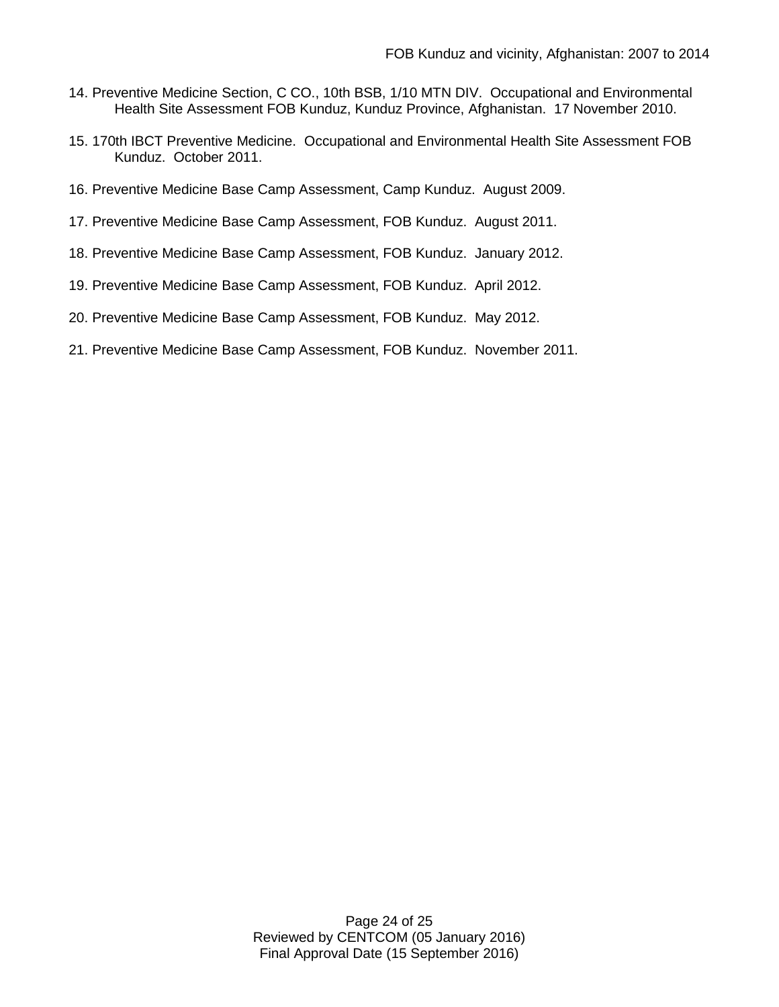- 14. Preventive Medicine Section, C CO., 10th BSB, 1/10 MTN DIV. Occupational and Environmental Health Site Assessment FOB Kunduz, Kunduz Province, Afghanistan. 17 November 2010.
- 15. 170th IBCT Preventive Medicine. Occupational and Environmental Health Site Assessment FOB Kunduz. October 2011.
- 16. Preventive Medicine Base Camp Assessment, Camp Kunduz. August 2009.
- 17. Preventive Medicine Base Camp Assessment, FOB Kunduz. August 2011.
- 18. Preventive Medicine Base Camp Assessment, FOB Kunduz. January 2012.
- 19. Preventive Medicine Base Camp Assessment, FOB Kunduz. April 2012.
- 20. Preventive Medicine Base Camp Assessment, FOB Kunduz. May 2012.
- 21. Preventive Medicine Base Camp Assessment, FOB Kunduz. November 2011.